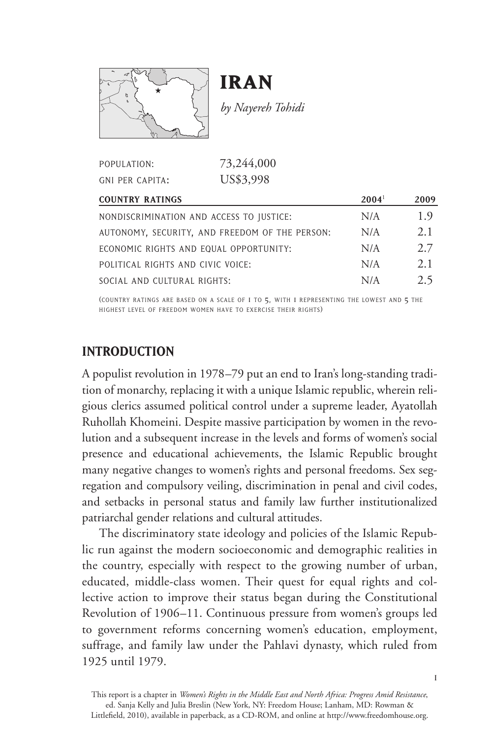

 *by Nayereh Tohidi*

| POPULATION:            | 73,244,000 |
|------------------------|------------|
| <b>GNI PER CAPITA:</b> | US\$3,998  |

| <b>COUNTRY RATINGS</b>                         | 2004 <sup>1</sup> | 2009 |
|------------------------------------------------|-------------------|------|
| NONDISCRIMINATION AND ACCESS TO JUSTICE:       | N/A               | 1.9  |
| AUTONOMY, SECURITY, AND FREEDOM OF THE PERSON: | N/A               | 2.1  |
| ECONOMIC RIGHTS AND EQUAL OPPORTUNITY:         | N/A               | 2.7  |
| POLITICAL RIGHTS AND CIVIC VOICE:              | N/A               | 2.1  |
| SOCIAL AND CULTURAL RIGHTS:                    | N/A               | 2.5  |

(COUNTRY RATINGS ARE BASED ON <sup>A</sup> SCALE OF 1 TO 5, WITH 1 REPRESENTING THE LOWEST AND 5 THE HIGHEST LEVEL OF FREEDOM WOMEN HAVE TO EXERCISE THEIR RIGHTS)

# **INTRODUCTION**

A populist revolution in 1978–79 put an end to Iran's long-standing tradition of monarchy, replacing it with a unique Islamic republic, wherein religious clerics assumed political control under a supreme leader, Ayatollah Ruhollah Khomeini. Despite massive participation by women in the revolution and a subsequent increase in the levels and forms of women's social presence and educational achievements, the Islamic Republic brought many negative changes to women's rights and personal freedoms. Sex segregation and compulsory veiling, discrimination in penal and civil codes, and setbacks in personal status and family law further institutionalized patriarchal gender relations and cultural attitudes.

The discriminatory state ideology and policies of the Islamic Republic run against the modern socioeconomic and demographic realities in the country, especially with respect to the growing number of urban, educated, middle-class women. Their quest for equal rights and collective action to improve their status began during the Constitutional Revolution of 1906–11. Continuous pressure from women's groups led to government reforms concerning women's education, employment, suffrage, and family law under the Pahlavi dynasty, which ruled from 1925 until 1979.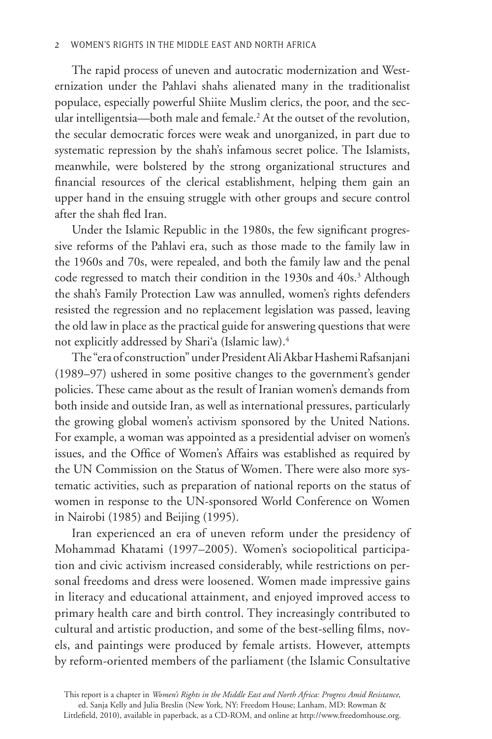#### 2 WOMEN'S RIGHTS IN THE MIDDLE EAST AND NORTH AFRICA

The rapid process of uneven and autocratic modernization and Westernization under the Pahlavi shahs alienated many in the traditionalist populace, especially powerful Shiite Muslim clerics, the poor, and the secular intelligentsia—both male and female.2 At the outset of the revolution, the secular democratic forces were weak and unorganized, in part due to systematic repression by the shah's infamous secret police. The Islamists, meanwhile, were bolstered by the strong organizational structures and financial resources of the clerical establishment, helping them gain an upper hand in the ensuing struggle with other groups and secure control after the shah fled Iran.

Under the Islamic Republic in the 1980s, the few significant progressive reforms of the Pahlavi era, such as those made to the family law in the 1960s and 70s, were repealed, and both the family law and the penal code regressed to match their condition in the 1930s and 40s.<sup>3</sup> Although the shah's Family Protection Law was annulled, women's rights defenders resisted the regression and no replacement legislation was passed, leaving the old law in place as the practical guide for answering questions that were not explicitly addressed by Shari'a (Islamic law).4

The "era of construction" under President Ali Akbar Hashemi Rafsanjani (1989–97) ushered in some positive changes to the government's gender policies. These came about as the result of Iranian women's demands from both inside and outside Iran, as well as international pressures, particularly the growing global women's activism sponsored by the United Nations. For example, a woman was appointed as a presidential adviser on women's issues, and the Office of Women's Affairs was established as required by the UN Commission on the Status of Women. There were also more systematic activities, such as preparation of national reports on the status of women in response to the UN-sponsored World Conference on Women in Nairobi (1985) and Beijing (1995).

Iran experienced an era of uneven reform under the presidency of Mohammad Khatami (1997–2005). Women's sociopolitical participation and civic activism increased considerably, while restrictions on personal freedoms and dress were loosened. Women made impressive gains in literacy and educational attainment, and enjoyed improved access to primary health care and birth control. They increasingly contributed to cultural and artistic production, and some of the best-selling films, novels, and paintings were produced by female artists. However, attempts by reform-oriented members of the parliament (the Islamic Consultative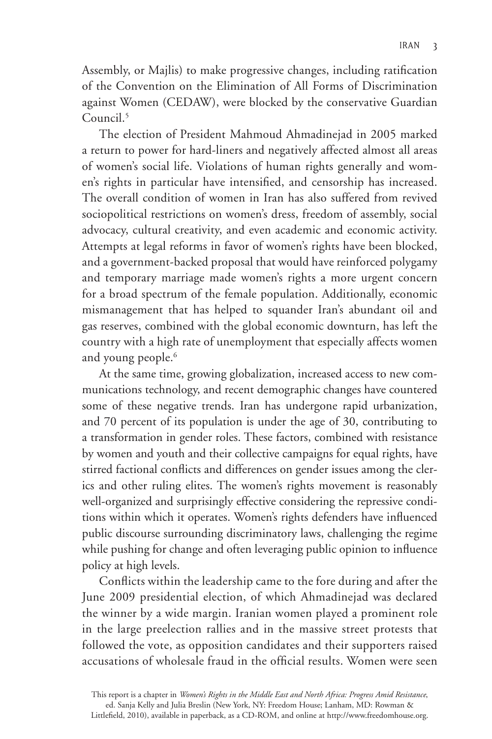Assembly, or Majlis) to make progressive changes, including ratification of the Convention on the Elimination of All Forms of Discrimination against Women (CEDAW), were blocked by the conservative Guardian Council.<sup>5</sup>

The election of President Mahmoud Ahmadinejad in 2005 marked a return to power for hard-liners and negatively affected almost all areas of women's social life. Violations of human rights generally and women's rights in particular have intensified, and censorship has increased. The overall condition of women in Iran has also suffered from revived sociopolitical restrictions on women's dress, freedom of assembly, social advocacy, cultural creativity, and even academic and economic activity. Attempts at legal reforms in favor of women's rights have been blocked, and a government-backed proposal that would have reinforced polygamy and temporary marriage made women's rights a more urgent concern for a broad spectrum of the female population. Additionally, economic mismanagement that has helped to squander Iran's abundant oil and gas reserves, combined with the global economic downturn, has left the country with a high rate of unemployment that especially affects women and young people.<sup>6</sup>

At the same time, growing globalization, increased access to new communications technology, and recent demographic changes have countered some of these negative trends. Iran has undergone rapid urbanization, and 70 percent of its population is under the age of 30, contributing to a transformation in gender roles. These factors, combined with resistance by women and youth and their collective campaigns for equal rights, have stirred factional conflicts and differences on gender issues among the clerics and other ruling elites. The women's rights movement is reasonably well-organized and surprisingly effective considering the repressive conditions within which it operates. Women's rights defenders have influenced public discourse surrounding discriminatory laws, challenging the regime while pushing for change and often leveraging public opinion to influence policy at high levels.

Conflicts within the leadership came to the fore during and after the June 2009 presidential election, of which Ahmadinejad was declared the winner by a wide margin. Iranian women played a prominent role in the large preelection rallies and in the massive street protests that followed the vote, as opposition candidates and their supporters raised accusations of wholesale fraud in the official results. Women were seen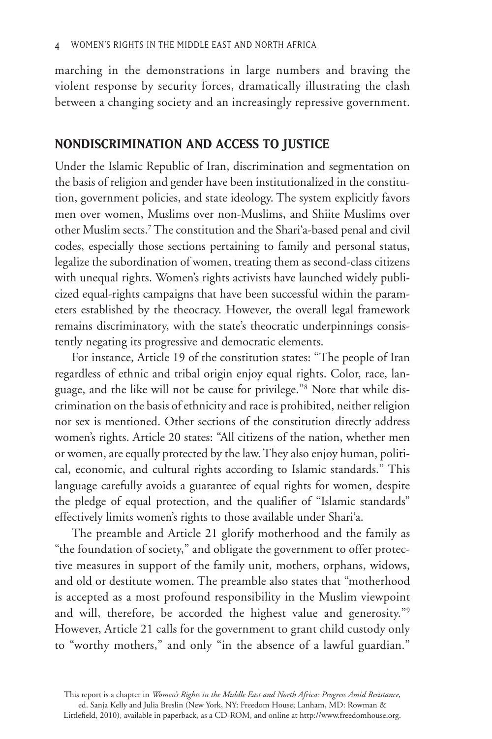marching in the demonstrations in large numbers and braving the violent response by security forces, dramatically illustrating the clash between a changing society and an increasingly repressive government.

# **NONDISCRIMINATION AND ACCESS TO JUSTICE**

Under the Islamic Republic of Iran, discrimination and segmentation on the basis of religion and gender have been institutionalized in the constitution, government policies, and state ideology. The system explicitly favors men over women, Muslims over non-Muslims, and Shiite Muslims over other Muslim sects.7 The constitution and the Shari'a-based penal and civil codes, especially those sections pertaining to family and personal status, legalize the subordination of women, treating them as second-class citizens with unequal rights. Women's rights activists have launched widely publicized equal-rights campaigns that have been successful within the parameters established by the theocracy. However, the overall legal framework remains discriminatory, with the state's theocratic underpinnings consistently negating its progressive and democratic elements.

For instance, Article 19 of the constitution states: "The people of Iran regardless of ethnic and tribal origin enjoy equal rights. Color, race, language, and the like will not be cause for privilege."8 Note that while discrimination on the basis of ethnicity and race is prohibited, neither religion nor sex is mentioned. Other sections of the constitution directly address women's rights. Article 20 states: "All citizens of the nation, whether men or women, are equally protected by the law. They also enjoy human, political, economic, and cultural rights according to Islamic standards." This language carefully avoids a guarantee of equal rights for women, despite the pledge of equal protection, and the qualifier of "Islamic standards" effectively limits women's rights to those available under Shari'a.

The preamble and Article 21 glorify motherhood and the family as "the foundation of society," and obligate the government to offer protective measures in support of the family unit, mothers, orphans, widows, and old or destitute women. The preamble also states that "motherhood is accepted as a most profound responsibility in the Muslim viewpoint and will, therefore, be accorded the highest value and generosity."9 However, Article 21 calls for the government to grant child custody only to "worthy mothers," and only "in the absence of a lawful guardian."

This report is a chapter in *Women's Rights in the Middle East and North Africa: Progress Amid Resistance*, ed. Sanja Kelly and Julia Breslin (New York, NY: Freedom House; Lanham, MD: Rowman & Littlefield, 2010), available in paperback, as a CD-ROM, and online at http://www.freedomhouse.org.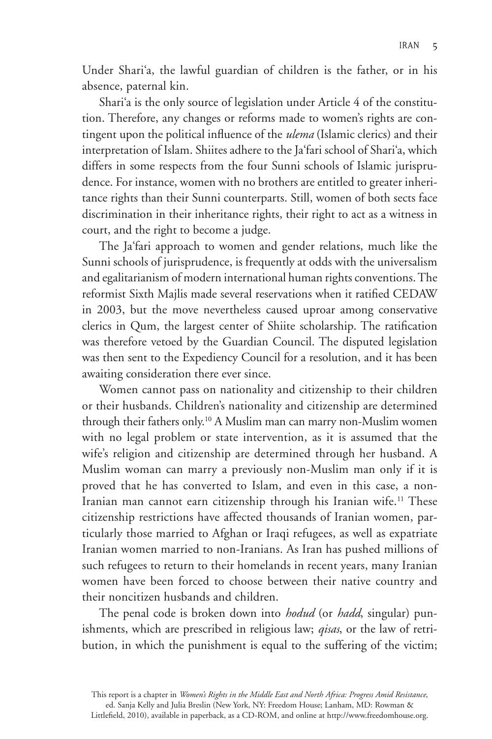Under Shari'a, the lawful guardian of children is the father, or in his absence, paternal kin.

Shari'a is the only source of legislation under Article 4 of the constitution. Therefore, any changes or reforms made to women's rights are contingent upon the political influence of the *ulema* (Islamic clerics) and their interpretation of Islam. Shiites adhere to the Ja'fari school of Shari'a, which differs in some respects from the four Sunni schools of Islamic jurisprudence. For instance, women with no brothers are entitled to greater inheritance rights than their Sunni counterparts. Still, women of both sects face discrimination in their inheritance rights, their right to act as a witness in court, and the right to become a judge.

The Ja'fari approach to women and gender relations, much like the Sunni schools of jurisprudence, is frequently at odds with the universalism and egalitarianism of modern international human rights conventions. The reformist Sixth Majlis made several reservations when it ratified CEDAW in 2003, but the move nevertheless caused uproar among conservative clerics in Qum, the largest center of Shiite scholarship. The ratification was therefore vetoed by the Guardian Council. The disputed legislation was then sent to the Expediency Council for a resolution, and it has been awaiting consideration there ever since.

Women cannot pass on nationality and citizenship to their children or their husbands. Children's nationality and citizenship are determined through their fathers only.10 A Muslim man can marry non-Muslim women with no legal problem or state intervention, as it is assumed that the wife's religion and citizenship are determined through her husband. A Muslim woman can marry a previously non-Muslim man only if it is proved that he has converted to Islam, and even in this case, a non-Iranian man cannot earn citizenship through his Iranian wife.<sup>11</sup> These citizenship restrictions have affected thousands of Iranian women, particularly those married to Afghan or Iraqi refugees, as well as expatriate Iranian women married to non-Iranians. As Iran has pushed millions of such refugees to return to their homelands in recent years, many Iranian women have been forced to choose between their native country and their noncitizen husbands and children.

The penal code is broken down into *hodud* (or *hadd*, singular) punishments, which are prescribed in religious law; *qisas*, or the law of retribution, in which the punishment is equal to the suffering of the victim;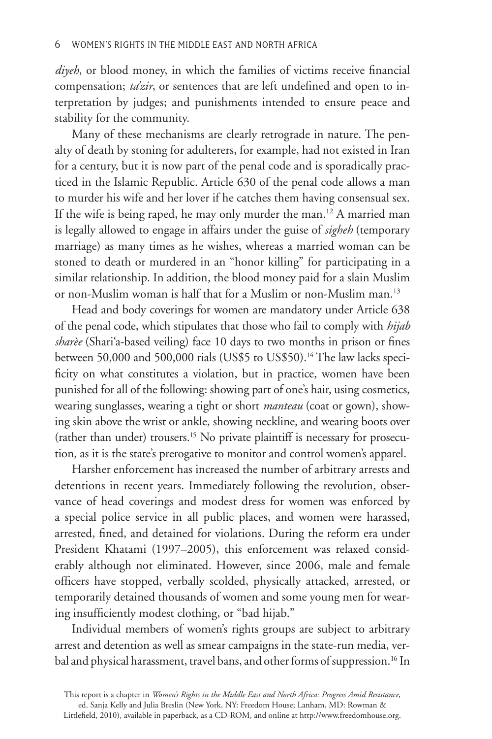*diyeh*, or blood money, in which the families of victims receive financial compensation; *ta'zir*, or sentences that are left undefined and open to interpretation by judges; and punishments intended to ensure peace and stability for the community.

Many of these mechanisms are clearly retrograde in nature. The penalty of death by stoning for adulterers, for example, had not existed in Iran for a century, but it is now part of the penal code and is sporadically practiced in the Islamic Republic. Article 630 of the penal code allows a man to murder his wife and her lover if he catches them having consensual sex. If the wife is being raped, he may only murder the man.12 A married man is legally allowed to engage in affairs under the guise of *sigheh* (temporary marriage) as many times as he wishes, whereas a married woman can be stoned to death or murdered in an "honor killing" for participating in a similar relationship. In addition, the blood money paid for a slain Muslim or non-Muslim woman is half that for a Muslim or non-Muslim man.13

Head and body coverings for women are mandatory under Article 638 of the penal code, which stipulates that those who fail to comply with *hijab sharèe* (Shari'a-based veiling) face 10 days to two months in prison or fines between 50,000 and 500,000 rials (US\$5 to US\$50).<sup>14</sup> The law lacks specificity on what constitutes a violation, but in practice, women have been punished for all of the following: showing part of one's hair, using cosmetics, wearing sunglasses, wearing a tight or short *manteau* (coat or gown), showing skin above the wrist or ankle, showing neckline, and wearing boots over (rather than under) trousers.15 No private plaintiff is necessary for prosecution, as it is the state's prerogative to monitor and control women's apparel.

Harsher enforcement has increased the number of arbitrary arrests and detentions in recent years. Immediately following the revolution, observance of head coverings and modest dress for women was enforced by a special police service in all public places, and women were harassed, arrested, fined, and detained for violations. During the reform era under President Khatami (1997–2005), this enforcement was relaxed considerably although not eliminated. However, since 2006, male and female officers have stopped, verbally scolded, physically attacked, arrested, or temporarily detained thousands of women and some young men for wearing insufficiently modest clothing, or "bad hijab."

Individual members of women's rights groups are subject to arbitrary arrest and detention as well as smear campaigns in the state-run media, verbal and physical harassment, travel bans, and other forms of suppression.<sup>16</sup> In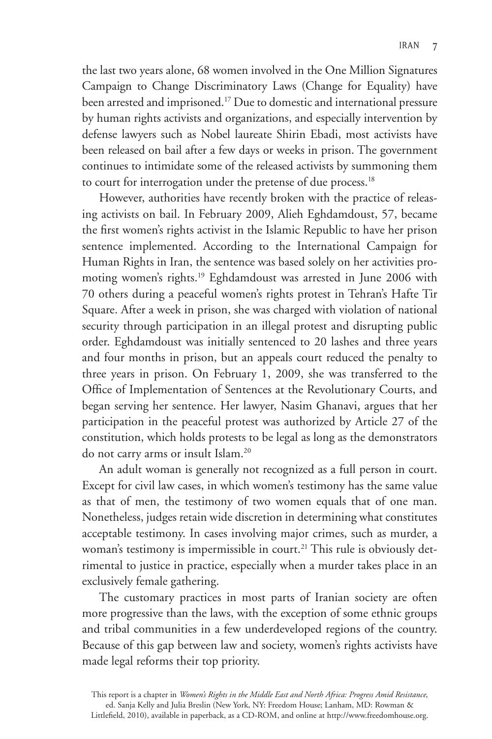the last two years alone, 68 women involved in the One Million Signatures Campaign to Change Discriminatory Laws (Change for Equality) have been arrested and imprisoned.<sup>17</sup> Due to domestic and international pressure by human rights activists and organizations, and especially intervention by defense lawyers such as Nobel laureate Shirin Ebadi, most activists have been released on bail after a few days or weeks in prison. The government continues to intimidate some of the released activists by summoning them to court for interrogation under the pretense of due process.<sup>18</sup>

However, authorities have recently broken with the practice of releasing activists on bail. In February 2009, Alieh Eghdamdoust, 57, became the first women's rights activist in the Islamic Republic to have her prison sentence implemented. According to the International Campaign for Human Rights in Iran, the sentence was based solely on her activities promoting women's rights.19 Eghdamdoust was arrested in June 2006 with 70 others during a peaceful women's rights protest in Tehran's Hafte Tir Square. After a week in prison, she was charged with violation of national security through participation in an illegal protest and disrupting public order. Eghdamdoust was initially sentenced to 20 lashes and three years and four months in prison, but an appeals court reduced the penalty to three years in prison. On February 1, 2009, she was transferred to the Office of Implementation of Sentences at the Revolutionary Courts, and began serving her sentence. Her lawyer, Nasim Ghanavi, argues that her participation in the peaceful protest was authorized by Article 27 of the constitution, which holds protests to be legal as long as the demonstrators do not carry arms or insult Islam.20

An adult woman is generally not recognized as a full person in court. Except for civil law cases, in which women's testimony has the same value as that of men, the testimony of two women equals that of one man. Nonetheless, judges retain wide discretion in determining what constitutes acceptable testimony. In cases involving major crimes, such as murder, a woman's testimony is impermissible in court.<sup>21</sup> This rule is obviously detrimental to justice in practice, especially when a murder takes place in an exclusively female gathering.

The customary practices in most parts of Iranian society are often more progressive than the laws, with the exception of some ethnic groups and tribal communities in a few underdeveloped regions of the country. Because of this gap between law and society, women's rights activists have made legal reforms their top priority.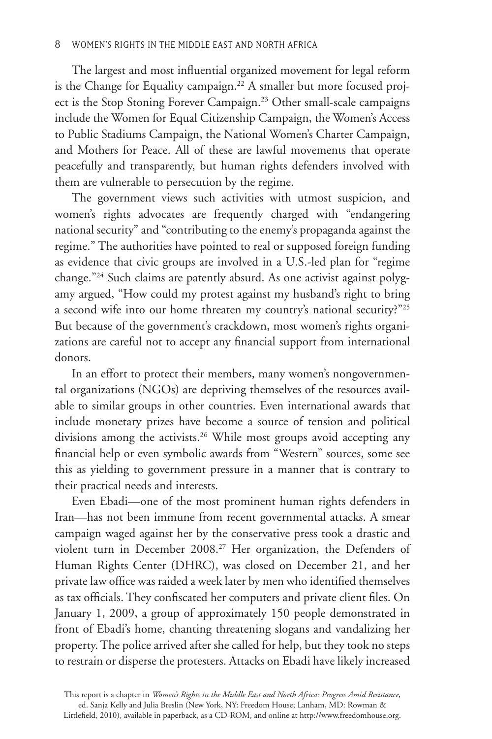The largest and most influential organized movement for legal reform is the Change for Equality campaign.<sup>22</sup> A smaller but more focused project is the Stop Stoning Forever Campaign.<sup>23</sup> Other small-scale campaigns include the Women for Equal Citizenship Campaign, the Women's Access to Public Stadiums Campaign, the National Women's Charter Campaign, and Mothers for Peace. All of these are lawful movements that operate peacefully and transparently, but human rights defenders involved with them are vulnerable to persecution by the regime.

The government views such activities with utmost suspicion, and women's rights advocates are frequently charged with "endangering national security" and "contributing to the enemy's propaganda against the regime." The authorities have pointed to real or supposed foreign funding as evidence that civic groups are involved in a U.S.-led plan for "regime change."24 Such claims are patently absurd. As one activist against polygamy argued, "How could my protest against my husband's right to bring a second wife into our home threaten my country's national security?"25 But because of the government's crackdown, most women's rights organizations are careful not to accept any financial support from international donors.

In an effort to protect their members, many women's nongovernmental organizations (NGOs) are depriving themselves of the resources available to similar groups in other countries. Even international awards that include monetary prizes have become a source of tension and political divisions among the activists.<sup>26</sup> While most groups avoid accepting any financial help or even symbolic awards from "Western" sources, some see this as yielding to government pressure in a manner that is contrary to their practical needs and interests.

Even Ebadi—one of the most prominent human rights defenders in Iran—has not been immune from recent governmental attacks. A smear campaign waged against her by the conservative press took a drastic and violent turn in December 2008.27 Her organization, the Defenders of Human Rights Center (DHRC), was closed on December 21, and her private law office was raided a week later by men who identified themselves as tax officials. They confiscated her computers and private client files. On January 1, 2009, a group of approximately 150 people demonstrated in front of Ebadi's home, chanting threatening slogans and vandalizing her property. The police arrived after she called for help, but they took no steps to restrain or disperse the protesters. Attacks on Ebadi have likely increased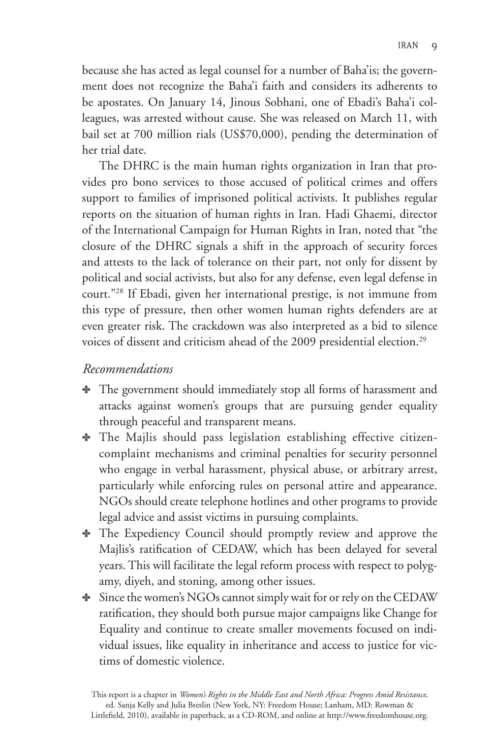because she has acted as legal counsel for a number of Baha'is; the government does not recognize the Baha'i faith and considers its adherents to be apostates. On January 14, Jinous Sobhani, one of Ebadi's Baha'i colleagues, was arrested without cause. She was released on March 11, with bail set at 700 million rials (US\$70,000), pending the determination of her trial date.

The DHRC is the main human rights organization in Iran that provides pro bono services to those accused of political crimes and offers support to families of imprisoned political activists. It publishes regular reports on the situation of human rights in Iran. Hadi Ghaemi, director of the International Campaign for Human Rights in Iran, noted that "the closure of the DHRC signals a shift in the approach of security forces and attests to the lack of tolerance on their part, not only for dissent by political and social activists, but also for any defense, even legal defense in court."28 If Ebadi, given her international prestige, is not immune from this type of pressure, then other women human rights defenders are at even greater risk. The crackdown was also interpreted as a bid to silence voices of dissent and criticism ahead of the 2009 presidential election.<sup>29</sup>

## *Recommendations*

- $\bullet$  The government should immediately stop all forms of harassment and attacks against women's groups that are pursuing gender equality through peaceful and transparent means.
- $\bullet$  The Majlis should pass legislation establishing effective citizencomplaint mechanisms and criminal penalties for security personnel who engage in verbal harassment, physical abuse, or arbitrary arrest, particularly while enforcing rules on personal attire and appearance. NGOs should create telephone hotlines and other programs to provide legal advice and assist victims in pursuing complaints.
- \* The Expediency Council should promptly review and approve the Majlis's ratification of CEDAW, which has been delayed for several years. This will facilitate the legal reform process with respect to polygamy, diyeh, and stoning, among other issues.
- $\bullet$  Since the women's NGOs cannot simply wait for or rely on the CEDAW ratification, they should both pursue major campaigns like Change for Equality and continue to create smaller movements focused on individual issues, like equality in inheritance and access to justice for victims of domestic violence.

This report is a chapter in *Women's Rights in the Middle East and North Africa: Progress Amid Resistance*, ed. Sanja Kelly and Julia Breslin (New York, NY: Freedom House; Lanham, MD: Rowman & Littlefield, 2010), available in paperback, as a CD-ROM, and online at http://www.freedomhouse.org.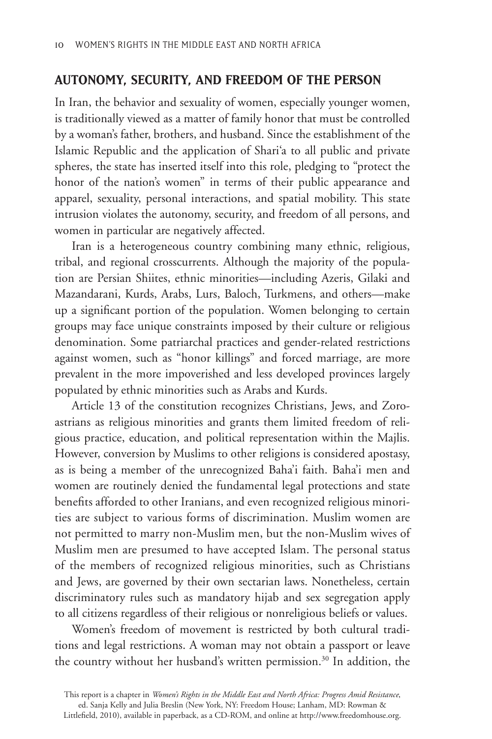### **AUTONOMY, SECURITY, AND FREEDOM OF THE PERSON**

In Iran, the behavior and sexuality of women, especially younger women, is traditionally viewed as a matter of family honor that must be controlled by a woman's father, brothers, and husband. Since the establishment of the Islamic Republic and the application of Shari'a to all public and private spheres, the state has inserted itself into this role, pledging to "protect the honor of the nation's women" in terms of their public appearance and apparel, sexuality, personal interactions, and spatial mobility. This state intrusion violates the autonomy, security, and freedom of all persons, and women in particular are negatively affected.

Iran is a heterogeneous country combining many ethnic, religious, tribal, and regional crosscurrents. Although the majority of the population are Persian Shiites, ethnic minorities—including Azeris, Gilaki and Mazandarani, Kurds, Arabs, Lurs, Baloch, Turkmens, and others—make up a significant portion of the population. Women belonging to certain groups may face unique constraints imposed by their culture or religious denomination. Some patriarchal practices and gender-related restrictions against women, such as "honor killings" and forced marriage, are more prevalent in the more impoverished and less developed provinces largely populated by ethnic minorities such as Arabs and Kurds.

Article 13 of the constitution recognizes Christians, Jews, and Zoroastrians as religious minorities and grants them limited freedom of religious practice, education, and political representation within the Majlis. However, conversion by Muslims to other religions is considered apostasy, as is being a member of the unrecognized Baha'i faith. Baha'i men and women are routinely denied the fundamental legal protections and state benefits afforded to other Iranians, and even recognized religious minorities are subject to various forms of discrimination. Muslim women are not permitted to marry non-Muslim men, but the non-Muslim wives of Muslim men are presumed to have accepted Islam. The personal status of the members of recognized religious minorities, such as Christians and Jews, are governed by their own sectarian laws. Nonetheless, certain discriminatory rules such as mandatory hijab and sex segregation apply to all citizens regardless of their religious or nonreligious beliefs or values.

Women's freedom of movement is restricted by both cultural traditions and legal restrictions. A woman may not obtain a passport or leave the country without her husband's written permission.<sup>30</sup> In addition, the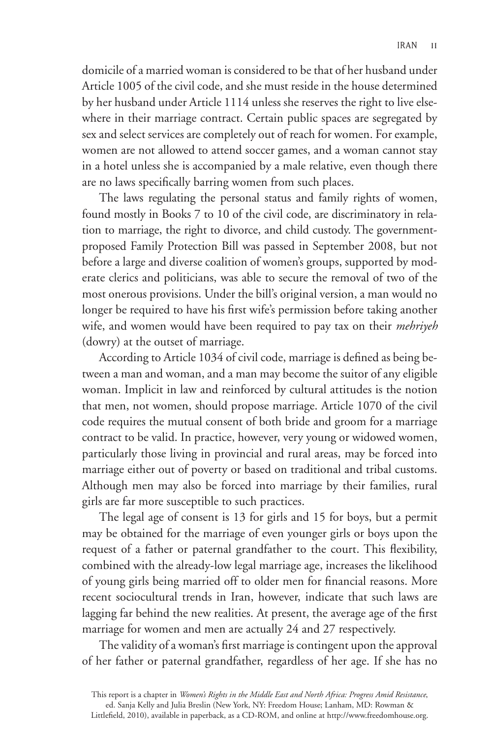domicile of a married woman is considered to be that of her husband under Article 1005 of the civil code, and she must reside in the house determined by her husband under Article 1114 unless she reserves the right to live elsewhere in their marriage contract. Certain public spaces are segregated by sex and select services are completely out of reach for women. For example, women are not allowed to attend soccer games, and a woman cannot stay in a hotel unless she is accompanied by a male relative, even though there are no laws specifically barring women from such places.

The laws regulating the personal status and family rights of women, found mostly in Books 7 to 10 of the civil code, are discriminatory in relation to marriage, the right to divorce, and child custody. The governmentproposed Family Protection Bill was passed in September 2008, but not before a large and diverse coalition of women's groups, supported by moderate clerics and politicians, was able to secure the removal of two of the most onerous provisions. Under the bill's original version, a man would no longer be required to have his first wife's permission before taking another wife, and women would have been required to pay tax on their *mehriyeh* (dowry) at the outset of marriage.

According to Article 1034 of civil code, marriage is defined as being between a man and woman, and a man may become the suitor of any eligible woman. Implicit in law and reinforced by cultural attitudes is the notion that men, not women, should propose marriage. Article 1070 of the civil code requires the mutual consent of both bride and groom for a marriage contract to be valid. In practice, however, very young or widowed women, particularly those living in provincial and rural areas, may be forced into marriage either out of poverty or based on traditional and tribal customs. Although men may also be forced into marriage by their families, rural girls are far more susceptible to such practices.

The legal age of consent is 13 for girls and 15 for boys, but a permit may be obtained for the marriage of even younger girls or boys upon the request of a father or paternal grandfather to the court. This flexibility, combined with the already-low legal marriage age, increases the likelihood of young girls being married off to older men for financial reasons. More recent sociocultural trends in Iran, however, indicate that such laws are lagging far behind the new realities. At present, the average age of the first marriage for women and men are actually 24 and 27 respectively.

The validity of a woman's first marriage is contingent upon the approval of her father or paternal grandfather, regardless of her age. If she has no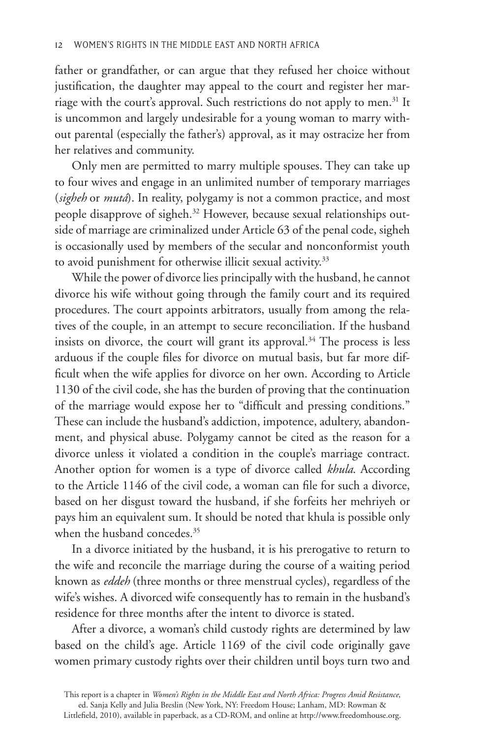father or grandfather, or can argue that they refused her choice without justification, the daughter may appeal to the court and register her marriage with the court's approval. Such restrictions do not apply to men.<sup>31</sup> It is uncommon and largely undesirable for a young woman to marry without parental (especially the father's) approval, as it may ostracize her from her relatives and community.

Only men are permitted to marry multiple spouses. They can take up to four wives and engage in an unlimited number of temporary marriages (*sigheh* or *mutá*). In reality, polygamy is not a common practice, and most people disapprove of sigheh.32 However, because sexual relationships outside of marriage are criminalized under Article 63 of the penal code, sigheh is occasionally used by members of the secular and nonconformist youth to avoid punishment for otherwise illicit sexual activity.<sup>33</sup>

While the power of divorce lies principally with the husband, he cannot divorce his wife without going through the family court and its required procedures. The court appoints arbitrators, usually from among the relatives of the couple, in an attempt to secure reconciliation. If the husband insists on divorce, the court will grant its approval.<sup>34</sup> The process is less arduous if the couple files for divorce on mutual basis, but far more difficult when the wife applies for divorce on her own. According to Article 1130 of the civil code, she has the burden of proving that the continuation of the marriage would expose her to "difficult and pressing conditions." These can include the husband's addiction, impotence, adultery, abandonment, and physical abuse. Polygamy cannot be cited as the reason for a divorce unless it violated a condition in the couple's marriage contract. Another option for women is a type of divorce called *khula*. According to the Article 1146 of the civil code, a woman can file for such a divorce, based on her disgust toward the husband, if she forfeits her mehriyeh or pays him an equivalent sum. It should be noted that khula is possible only when the husband concedes.<sup>35</sup>

In a divorce initiated by the husband, it is his prerogative to return to the wife and reconcile the marriage during the course of a waiting period known as *eddeh* (three months or three menstrual cycles), regardless of the wife's wishes. A divorced wife consequently has to remain in the husband's residence for three months after the intent to divorce is stated.

After a divorce, a woman's child custody rights are determined by law based on the child's age. Article 1169 of the civil code originally gave women primary custody rights over their children until boys turn two and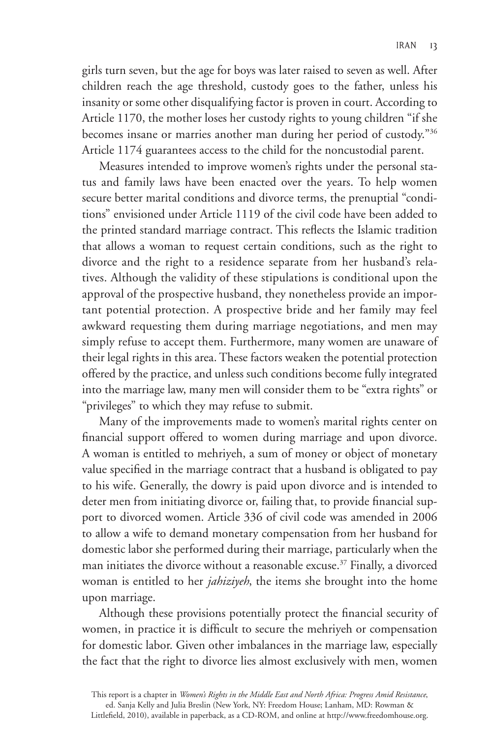girls turn seven, but the age for boys was later raised to seven as well. After children reach the age threshold, custody goes to the father, unless his insanity or some other disqualifying factor is proven in court. According to Article 1170, the mother loses her custody rights to young children "if she becomes insane or marries another man during her period of custody."36 Article 1174 guarantees access to the child for the noncustodial parent.

Measures intended to improve women's rights under the personal status and family laws have been enacted over the years. To help women secure better marital conditions and divorce terms, the prenuptial "conditions" envisioned under Article 1119 of the civil code have been added to the printed standard marriage contract. This reflects the Islamic tradition that allows a woman to request certain conditions, such as the right to divorce and the right to a residence separate from her husband's relatives. Although the validity of these stipulations is conditional upon the approval of the prospective husband, they nonetheless provide an important potential protection. A prospective bride and her family may feel awkward requesting them during marriage negotiations, and men may simply refuse to accept them. Furthermore, many women are unaware of their legal rights in this area. These factors weaken the potential protection offered by the practice, and unless such conditions become fully integrated into the marriage law, many men will consider them to be "extra rights" or "privileges" to which they may refuse to submit.

Many of the improvements made to women's marital rights center on financial support offered to women during marriage and upon divorce. A woman is entitled to mehriyeh, a sum of money or object of monetary value specified in the marriage contract that a husband is obligated to pay to his wife. Generally, the dowry is paid upon divorce and is intended to deter men from initiating divorce or, failing that, to provide financial support to divorced women. Article 336 of civil code was amended in 2006 to allow a wife to demand monetary compensation from her husband for domestic labor she performed during their marriage, particularly when the man initiates the divorce without a reasonable excuse.<sup>37</sup> Finally, a divorced woman is entitled to her *jahiziyeh*, the items she brought into the home upon marriage.

Although these provisions potentially protect the financial security of women, in practice it is difficult to secure the mehriyeh or compensation for domestic labor. Given other imbalances in the marriage law, especially the fact that the right to divorce lies almost exclusively with men, women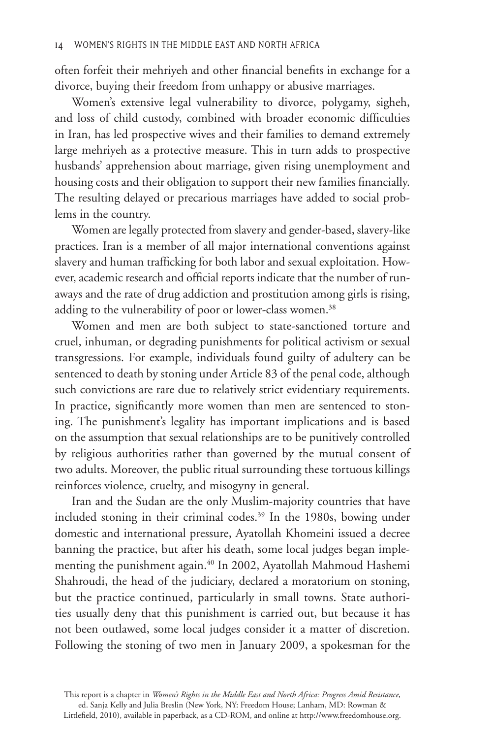often forfeit their mehriyeh and other financial benefits in exchange for a divorce, buying their freedom from unhappy or abusive marriages.

Women's extensive legal vulnerability to divorce, polygamy, sigheh, and loss of child custody, combined with broader economic difficulties in Iran, has led prospective wives and their families to demand extremely large mehriyeh as a protective measure. This in turn adds to prospective husbands' apprehension about marriage, given rising unemployment and housing costs and their obligation to support their new families financially. The resulting delayed or precarious marriages have added to social problems in the country.

Women are legally protected from slavery and gender-based, slavery-like practices. Iran is a member of all major international conventions against slavery and human trafficking for both labor and sexual exploitation. However, academic research and official reports indicate that the number of runaways and the rate of drug addiction and prostitution among girls is rising, adding to the vulnerability of poor or lower-class women.<sup>38</sup>

Women and men are both subject to state-sanctioned torture and cruel, inhuman, or degrading punishments for political activism or sexual transgressions. For example, individuals found guilty of adultery can be sentenced to death by stoning under Article 83 of the penal code, although such convictions are rare due to relatively strict evidentiary requirements. In practice, significantly more women than men are sentenced to stoning. The punishment's legality has important implications and is based on the assumption that sexual relationships are to be punitively controlled by religious authorities rather than governed by the mutual consent of two adults. Moreover, the public ritual surrounding these tortuous killings reinforces violence, cruelty, and misogyny in general.

Iran and the Sudan are the only Muslim-majority countries that have included stoning in their criminal codes. $39$  In the 1980s, bowing under domestic and international pressure, Ayatollah Khomeini issued a decree banning the practice, but after his death, some local judges began implementing the punishment again.<sup>40</sup> In 2002, Ayatollah Mahmoud Hashemi Shahroudi, the head of the judiciary, declared a moratorium on stoning, but the practice continued, particularly in small towns. State authorities usually deny that this punishment is carried out, but because it has not been outlawed, some local judges consider it a matter of discretion. Following the stoning of two men in January 2009, a spokesman for the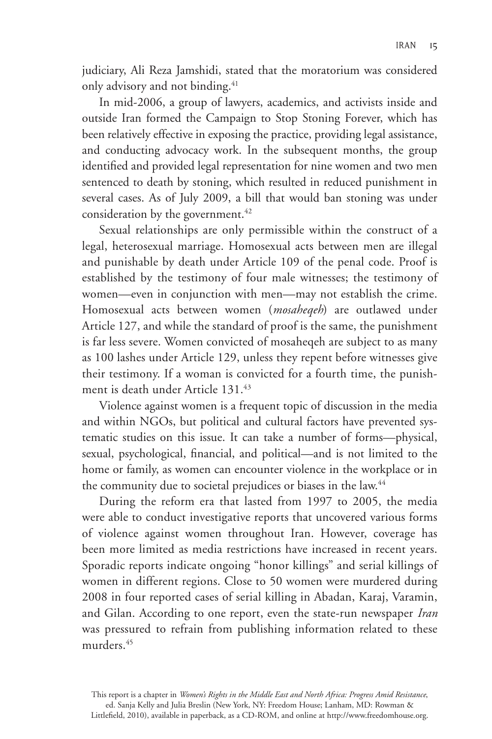judiciary, Ali Reza Jamshidi, stated that the moratorium was considered only advisory and not binding.<sup>41</sup>

In mid-2006, a group of lawyers, academics, and activists inside and outside Iran formed the Campaign to Stop Stoning Forever, which has been relatively effective in exposing the practice, providing legal assistance, and conducting advocacy work. In the subsequent months, the group identified and provided legal representation for nine women and two men sentenced to death by stoning, which resulted in reduced punishment in several cases. As of July 2009, a bill that would ban stoning was under consideration by the government.<sup>42</sup>

Sexual relationships are only permissible within the construct of a legal, heterosexual marriage. Homosexual acts between men are illegal and punishable by death under Article 109 of the penal code. Proof is established by the testimony of four male witnesses; the testimony of women—even in conjunction with men—may not establish the crime. Homosexual acts between women (*mosaheqeh*) are outlawed under Article 127, and while the standard of proof is the same, the punishment is far less severe. Women convicted of mosaheqeh are subject to as many as 100 lashes under Article 129, unless they repent before witnesses give their testimony. If a woman is convicted for a fourth time, the punishment is death under Article 131.43

Violence against women is a frequent topic of discussion in the media and within NGOs, but political and cultural factors have prevented systematic studies on this issue. It can take a number of forms—physical, sexual, psychological, financial, and political—and is not limited to the home or family, as women can encounter violence in the workplace or in the community due to societal prejudices or biases in the law.<sup>44</sup>

During the reform era that lasted from 1997 to 2005, the media were able to conduct investigative reports that uncovered various forms of violence against women throughout Iran. However, coverage has been more limited as media restrictions have increased in recent years. Sporadic reports indicate ongoing "honor killings" and serial killings of women in different regions. Close to 50 women were murdered during 2008 in four reported cases of serial killing in Abadan, Karaj, Varamin, and Gilan. According to one report, even the state-run newspaper *Iran*  was pressured to refrain from publishing information related to these murders.<sup>45</sup>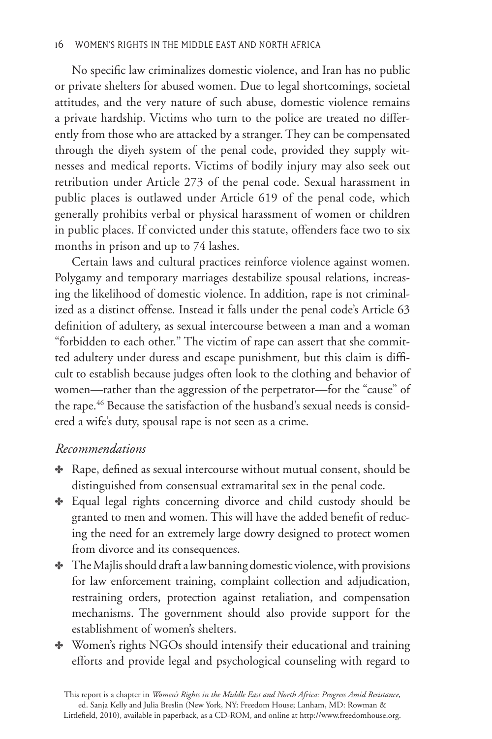No specific law criminalizes domestic violence, and Iran has no public or private shelters for abused women. Due to legal shortcomings, societal attitudes, and the very nature of such abuse, domestic violence remains a private hardship. Victims who turn to the police are treated no differently from those who are attacked by a stranger. They can be compensated through the diyeh system of the penal code, provided they supply witnesses and medical reports. Victims of bodily injury may also seek out retribution under Article 273 of the penal code. Sexual harassment in public places is outlawed under Article 619 of the penal code, which generally prohibits verbal or physical harassment of women or children in public places. If convicted under this statute, offenders face two to six months in prison and up to 74 lashes.

Certain laws and cultural practices reinforce violence against women. Polygamy and temporary marriages destabilize spousal relations, increasing the likelihood of domestic violence. In addition, rape is not criminalized as a distinct offense. Instead it falls under the penal code's Article 63 definition of adultery, as sexual intercourse between a man and a woman "forbidden to each other." The victim of rape can assert that she committed adultery under duress and escape punishment, but this claim is difficult to establish because judges often look to the clothing and behavior of women—rather than the aggression of the perpetrator—for the "cause" of the rape.46 Because the satisfaction of the husband's sexual needs is considered a wife's duty, spousal rape is not seen as a crime.

#### *Recommendations*

- \* Rape, defined as sexual intercourse without mutual consent, should be distinguished from consensual extramarital sex in the penal code.
- \* Equal legal rights concerning divorce and child custody should be granted to men and women. This will have the added benefit of reducing the need for an extremely large dowry designed to protect women from divorce and its consequences.
- $\bullet$  The Majlis should draft a law banning domestic violence, with provisions for law enforcement training, complaint collection and adjudication, restraining orders, protection against retaliation, and compensation mechanisms. The government should also provide support for the establishment of women's shelters.
- F Women's rights NGOs should intensify their educational and training efforts and provide legal and psychological counseling with regard to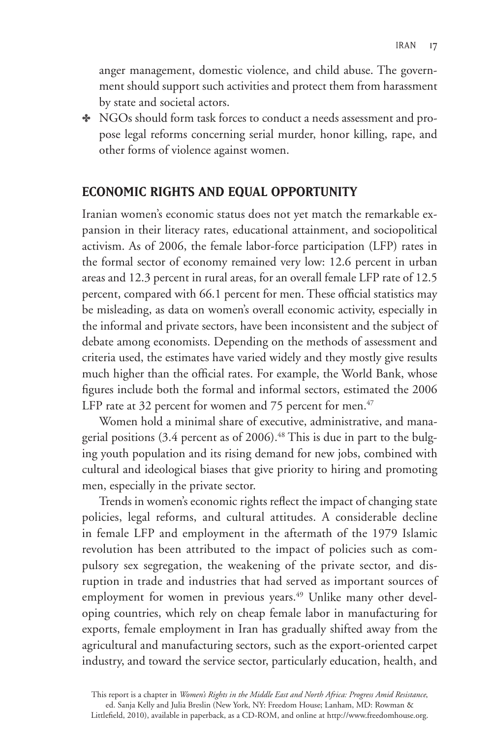anger management, domestic violence, and child abuse. The government should support such activities and protect them from harassment by state and societal actors.

F NGOs should form task forces to conduct a needs assessment and propose legal reforms concerning serial murder, honor killing, rape, and other forms of violence against women.

### **ECONOMIC RIGHTS AND EQUAL OPPORTUNITY**

Iranian women's economic status does not yet match the remarkable expansion in their literacy rates, educational attainment, and sociopolitical activism. As of 2006, the female labor-force participation (LFP) rates in the formal sector of economy remained very low: 12.6 percent in urban areas and 12.3 percent in rural areas, for an overall female LFP rate of 12.5 percent, compared with 66.1 percent for men. These official statistics may be misleading, as data on women's overall economic activity, especially in the informal and private sectors, have been inconsistent and the subject of debate among economists. Depending on the methods of assessment and criteria used, the estimates have varied widely and they mostly give results much higher than the official rates. For example, the World Bank, whose figures include both the formal and informal sectors, estimated the 2006 LFP rate at 32 percent for women and 75 percent for men. $47$ 

Women hold a minimal share of executive, administrative, and managerial positions  $(3.4 \text{ percent as of } 2006)$ .<sup>48</sup> This is due in part to the bulging youth population and its rising demand for new jobs, combined with cultural and ideological biases that give priority to hiring and promoting men, especially in the private sector.

Trends in women's economic rights reflect the impact of changing state policies, legal reforms, and cultural attitudes. A considerable decline in female LFP and employment in the aftermath of the 1979 Islamic revolution has been attributed to the impact of policies such as compulsory sex segregation, the weakening of the private sector, and disruption in trade and industries that had served as important sources of employment for women in previous years.<sup>49</sup> Unlike many other developing countries, which rely on cheap female labor in manufacturing for exports, female employment in Iran has gradually shifted away from the agricultural and manufacturing sectors, such as the export-oriented carpet industry, and toward the service sector, particularly education, health, and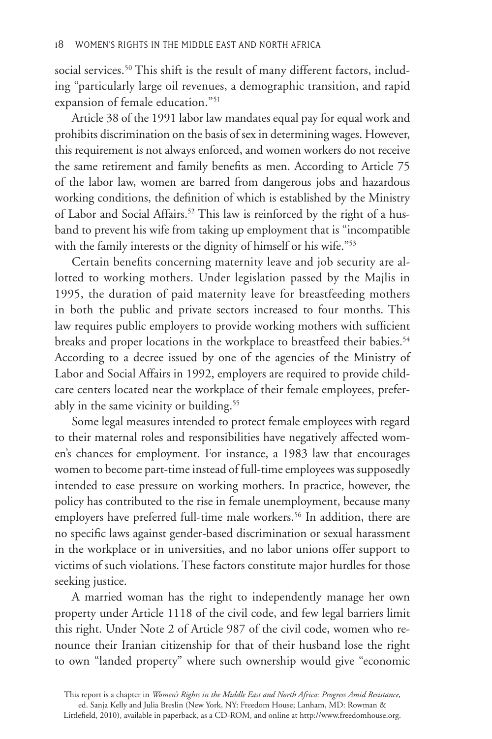social services.50 This shift is the result of many different factors, including "particularly large oil revenues, a demographic transition, and rapid expansion of female education."51

Article 38 of the 1991 labor law mandates equal pay for equal work and prohibits discrimination on the basis of sex in determining wages. However, this requirement is not always enforced, and women workers do not receive the same retirement and family benefits as men. According to Article 75 of the labor law, women are barred from dangerous jobs and hazardous working conditions, the definition of which is established by the Ministry of Labor and Social Affairs.<sup>52</sup> This law is reinforced by the right of a husband to prevent his wife from taking up employment that is "incompatible with the family interests or the dignity of himself or his wife."<sup>53</sup>

Certain benefits concerning maternity leave and job security are allotted to working mothers. Under legislation passed by the Majlis in 1995, the duration of paid maternity leave for breastfeeding mothers in both the public and private sectors increased to four months. This law requires public employers to provide working mothers with sufficient breaks and proper locations in the workplace to breastfeed their babies.<sup>54</sup> According to a decree issued by one of the agencies of the Ministry of Labor and Social Affairs in 1992, employers are required to provide childcare centers located near the workplace of their female employees, preferably in the same vicinity or building.<sup>55</sup>

Some legal measures intended to protect female employees with regard to their maternal roles and responsibilities have negatively affected women's chances for employment. For instance, a 1983 law that encourages women to become part-time instead of full-time employees was supposedly intended to ease pressure on working mothers. In practice, however, the policy has contributed to the rise in female unemployment, because many employers have preferred full-time male workers.<sup>56</sup> In addition, there are no specific laws against gender-based discrimination or sexual harassment in the workplace or in universities, and no labor unions offer support to victims of such violations. These factors constitute major hurdles for those seeking justice.

A married woman has the right to independently manage her own property under Article 1118 of the civil code, and few legal barriers limit this right. Under Note 2 of Article 987 of the civil code, women who renounce their Iranian citizenship for that of their husband lose the right to own "landed property" where such ownership would give "economic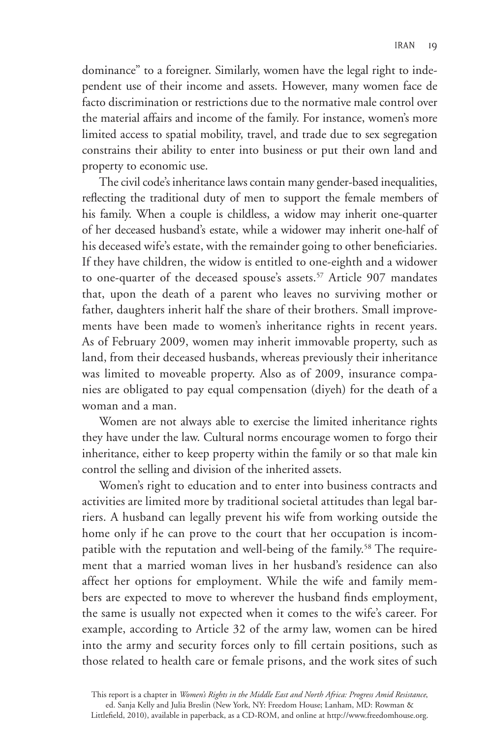dominance" to a foreigner. Similarly, women have the legal right to independent use of their income and assets. However, many women face de facto discrimination or restrictions due to the normative male control over the material affairs and income of the family. For instance, women's more limited access to spatial mobility, travel, and trade due to sex segregation constrains their ability to enter into business or put their own land and property to economic use.

The civil code's inheritance laws contain many gender-based inequalities, reflecting the traditional duty of men to support the female members of his family. When a couple is childless, a widow may inherit one-quarter of her deceased husband's estate, while a widower may inherit one-half of his deceased wife's estate, with the remainder going to other beneficiaries. If they have children, the widow is entitled to one-eighth and a widower to one-quarter of the deceased spouse's assets.<sup>57</sup> Article 907 mandates that, upon the death of a parent who leaves no surviving mother or father, daughters inherit half the share of their brothers. Small improvements have been made to women's inheritance rights in recent years. As of February 2009, women may inherit immovable property, such as land, from their deceased husbands, whereas previously their inheritance was limited to moveable property. Also as of 2009, insurance companies are obligated to pay equal compensation (diyeh) for the death of a woman and a man.

Women are not always able to exercise the limited inheritance rights they have under the law. Cultural norms encourage women to forgo their inheritance, either to keep property within the family or so that male kin control the selling and division of the inherited assets.

Women's right to education and to enter into business contracts and activities are limited more by traditional societal attitudes than legal barriers. A husband can legally prevent his wife from working outside the home only if he can prove to the court that her occupation is incompatible with the reputation and well-being of the family.<sup>58</sup> The requirement that a married woman lives in her husband's residence can also affect her options for employment. While the wife and family members are expected to move to wherever the husband finds employment, the same is usually not expected when it comes to the wife's career. For example, according to Article 32 of the army law, women can be hired into the army and security forces only to fill certain positions, such as those related to health care or female prisons, and the work sites of such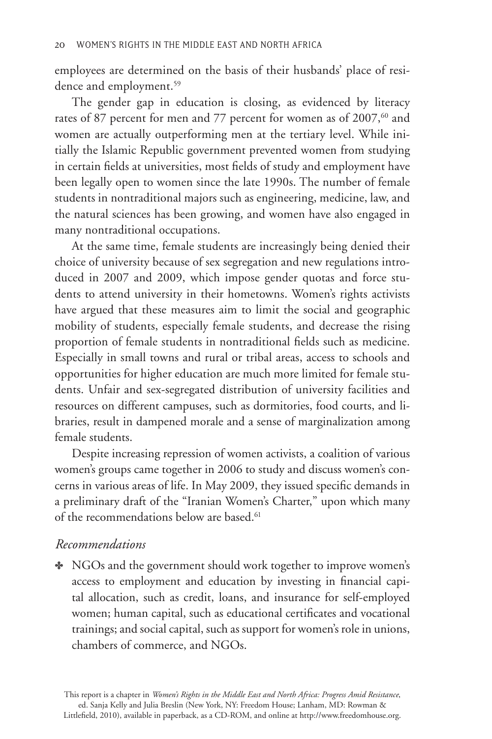employees are determined on the basis of their husbands' place of residence and employment.<sup>59</sup>

The gender gap in education is closing, as evidenced by literacy rates of 87 percent for men and 77 percent for women as of 2007,<sup>60</sup> and women are actually outperforming men at the tertiary level. While initially the Islamic Republic government prevented women from studying in certain fields at universities, most fields of study and employment have been legally open to women since the late 1990s. The number of female students in nontraditional majors such as engineering, medicine, law, and the natural sciences has been growing, and women have also engaged in many nontraditional occupations.

At the same time, female students are increasingly being denied their choice of university because of sex segregation and new regulations introduced in 2007 and 2009, which impose gender quotas and force students to attend university in their hometowns. Women's rights activists have argued that these measures aim to limit the social and geographic mobility of students, especially female students, and decrease the rising proportion of female students in nontraditional fields such as medicine. Especially in small towns and rural or tribal areas, access to schools and op portunities for higher education are much more limited for female students. Unfair and sex-segregated distribution of university facilities and resources on different campuses, such as dormitories, food courts, and libraries, result in dampened morale and a sense of marginalization among female students.

Despite increasing repression of women activists, a coalition of various women's groups came together in 2006 to study and discuss women's concerns in various areas of life. In May 2009, they issued specific demands in a preliminary draft of the "Iranian Women's Charter," upon which many of the recommendations below are based.<sup>61</sup>

## *Recommendations*

F NGOs and the government should work together to improve women's access to employment and education by investing in financial capital allocation, such as credit, loans, and insurance for self-employed women; human capital, such as educational certificates and vocational trainings; and social capital, such as support for women's role in unions, chambers of commerce, and NGOs.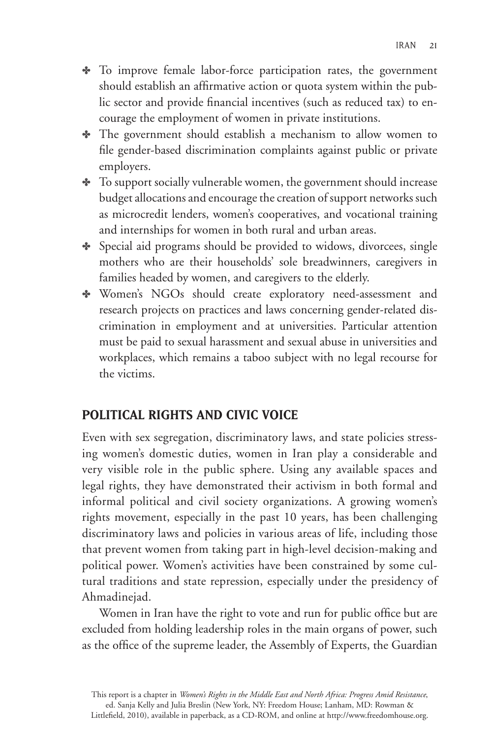- $\bullet$  To improve female labor-force participation rates, the government should establish an affirmative action or quota system within the public sector and provide financial incentives (such as reduced tax) to encourage the employment of women in private institutions.
- $\bullet$  The government should establish a mechanism to allow women to file gender-based discrimination complaints against public or private employers.
- $\bullet$  To support socially vulnerable women, the government should increase budget allocations and encourage the creation of support networks such as microcredit lenders, women's cooperatives, and vocational training and internships for women in both rural and urban areas.
- Special aid programs should be provided to widows, divorcees, single mothers who are their households' sole breadwinners, caregivers in families headed by women, and caregivers to the elderly.
- F Women's NGOs should create exploratory need-assessment and research projects on practices and laws concerning gender-related discrimination in employment and at universities. Particular attention must be paid to sexual harassment and sexual abuse in universities and workplaces, which remains a taboo subject with no legal recourse for the victims.

# **POLITICAL RIGHTS AND CIVIC VOICE**

Even with sex segregation, discriminatory laws, and state policies stressing women's domestic duties, women in Iran play a considerable and very visible role in the public sphere. Using any available spaces and legal rights, they have demonstrated their activism in both formal and informal political and civil society organizations. A growing women's rights movement, especially in the past 10 years, has been challenging discriminatory laws and policies in various areas of life, including those that prevent women from taking part in high-level decision-making and political power. Women's activities have been constrained by some cultural traditions and state repression, especially under the presidency of Ahmadinejad.

Women in Iran have the right to vote and run for public office but are excluded from holding leadership roles in the main organs of power, such as the office of the supreme leader, the Assembly of Experts, the Guardian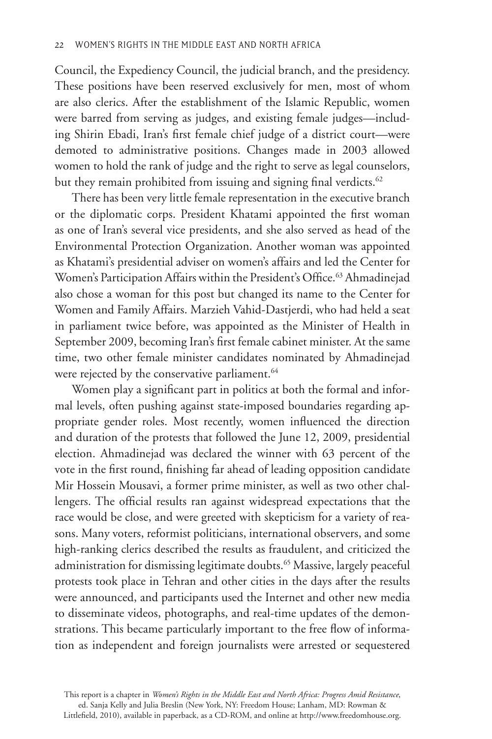Council, the Expediency Council, the judicial branch, and the presidency. These positions have been reserved exclusively for men, most of whom are also clerics. After the establishment of the Islamic Republic, women were barred from serving as judges, and existing female judges—including Shirin Ebadi, Iran's first female chief judge of a district court—were demoted to administrative positions. Changes made in 2003 allowed women to hold the rank of judge and the right to serve as legal counselors, but they remain prohibited from issuing and signing final verdicts.<sup>62</sup>

There has been very little female representation in the executive branch or the diplomatic corps. President Khatami appointed the first woman as one of Iran's several vice presidents, and she also served as head of the Environmental Protection Organization. Another woman was appointed as Khatami's presidential adviser on women's affairs and led the Center for Women's Participation Affairs within the President's Office.<sup>63</sup> Ahmadinejad also chose a woman for this post but changed its name to the Center for Women and Family Affairs. Marzieh Vahid-Dastjerdi, who had held a seat in parliament twice before, was appointed as the Minister of Health in September 2009, becoming Iran's first female cabinet minister. At the same time, two other female minister candidates nominated by Ahmadinejad were rejected by the conservative parliament.<sup>64</sup>

Women play a significant part in politics at both the formal and informal levels, often pushing against state-imposed boundaries regarding appropriate gender roles. Most recently, women influenced the direction and duration of the protests that followed the June 12, 2009, presidential election. Ahmadinejad was declared the winner with 63 percent of the vote in the first round, finishing far ahead of leading opposition candidate Mir Hossein Mousavi, a former prime minister, as well as two other challengers. The official results ran against widespread expectations that the race would be close, and were greeted with skepticism for a variety of reasons. Many voters, reformist politicians, international observers, and some high-ranking clerics described the results as fraudulent, and criticized the administration for dismissing legitimate doubts.<sup>65</sup> Massive, largely peaceful protests took place in Tehran and other cities in the days after the results were announced, and participants used the Internet and other new media to disseminate videos, photographs, and real-time updates of the demonstrations. This became particularly important to the free flow of information as independent and foreign journalists were arrested or sequestered

This report is a chapter in *Women's Rights in the Middle East and North Africa: Progress Amid Resistance*, ed. Sanja Kelly and Julia Breslin (New York, NY: Freedom House; Lanham, MD: Rowman & Littlefield, 2010), available in paperback, as a CD-ROM, and online at http://www.freedomhouse.org.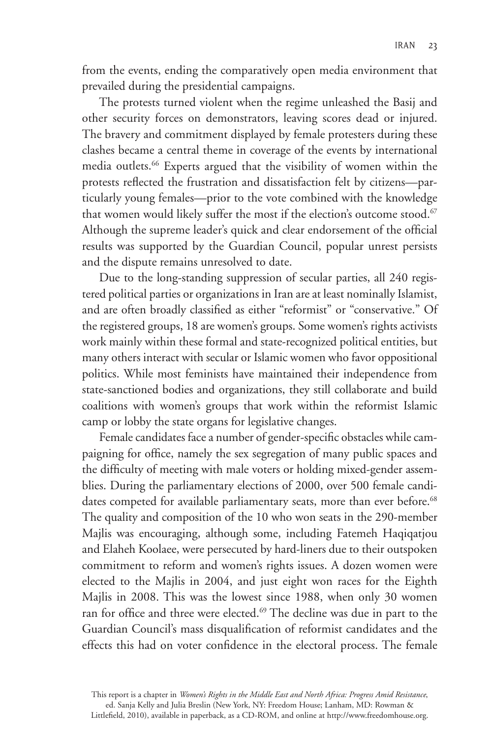from the events, ending the comparatively open media environment that prevailed during the presidential campaigns.

The protests turned violent when the regime unleashed the Basij and other security forces on demonstrators, leaving scores dead or injured. The bravery and commitment displayed by female protesters during these clashes became a central theme in coverage of the events by international media outlets.66 Experts argued that the visibility of women within the protests reflected the frustration and dissatisfaction felt by citizens-particularly young females—prior to the vote combined with the knowledge that women would likely suffer the most if the election's outcome stood.<sup>67</sup> Although the supreme leader's quick and clear endorsement of the official results was supported by the Guardian Council, popular unrest persists and the dispute remains unresolved to date.

Due to the long-standing suppression of secular parties, all 240 registered political parties or organizations in Iran are at least nominally Islamist, and are often broadly classified as either "reformist" or "conservative." Of the registered groups, 18 are women's groups. Some women's rights activists work mainly within these formal and state-recognized political entities, but many others interact with secular or Islamic women who favor oppositional politics. While most feminists have maintained their independence from state-sanctioned bodies and organizations, they still collaborate and build coalitions with women's groups that work within the reformist Islamic camp or lobby the state organs for legislative changes.

Female candidates face a number of gender-specific obstacles while campaigning for office, namely the sex segregation of many public spaces and the difficulty of meeting with male voters or holding mixed-gender assemblies. During the parliamentary elections of 2000, over 500 female candidates competed for available parliamentary seats, more than ever before.<sup>68</sup> The quality and composition of the 10 who won seats in the 290-member Majlis was encouraging, although some, including Fatemeh Haqiqatjou and Elaheh Koolaee, were persecuted by hard-liners due to their outspoken commitment to reform and women's rights issues. A dozen women were elected to the Majlis in 2004, and just eight won races for the Eighth Majlis in 2008. This was the lowest since 1988, when only 30 women ran for office and three were elected.<sup>69</sup> The decline was due in part to the Guardian Council's mass disqualification of reformist candidates and the effects this had on voter confidence in the electoral process. The female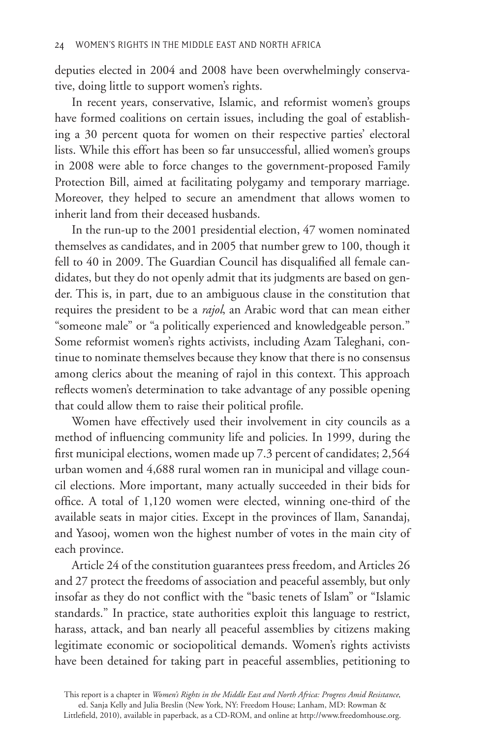deputies elected in 2004 and 2008 have been overwhelmingly conservative, doing little to support women's rights.

In recent years, conservative, Islamic, and reformist women's groups have formed coalitions on certain issues, including the goal of establishing a 30 percent quota for women on their respective parties' electoral lists. While this effort has been so far unsuccessful, allied women's groups in 2008 were able to force changes to the government-proposed Family Protection Bill, aimed at facilitating polygamy and temporary marriage. Moreover, they helped to secure an amendment that allows women to inherit land from their deceased husbands.

In the run-up to the 2001 presidential election, 47 women nominated themselves as candidates, and in 2005 that number grew to 100, though it fell to 40 in 2009. The Guardian Council has disqualified all female candidates, but they do not openly admit that its judgments are based on gender. This is, in part, due to an ambiguous clause in the constitution that requires the president to be a *rajol*, an Arabic word that can mean either "someone male" or "a politically experienced and knowledgeable person." Some reformist women's rights activists, including Azam Taleghani, continue to nominate themselves because they know that there is no consensus among clerics about the meaning of rajol in this context. This approach reflects women's determination to take advantage of any possible opening that could allow them to raise their political profile.

Women have effectively used their involvement in city councils as a method of influencing community life and policies. In 1999, during the first municipal elections, women made up 7.3 percent of candidates; 2,564 urban women and 4,688 rural women ran in municipal and village council elections. More important, many actually succeeded in their bids for office. A total of 1,120 women were elected, winning one-third of the available seats in major cities. Except in the provinces of Ilam, Sanandaj, and Yasooj, women won the highest number of votes in the main city of each province.

Article 24 of the constitution guarantees press freedom, and Articles 26 and 27 protect the freedoms of association and peaceful assembly, but only insofar as they do not conflict with the "basic tenets of Islam" or "Islamic standards." In practice, state authorities exploit this language to restrict, harass, attack, and ban nearly all peaceful assemblies by citizens making legitimate economic or sociopolitical demands. Women's rights activists have been detained for taking part in peaceful assemblies, petitioning to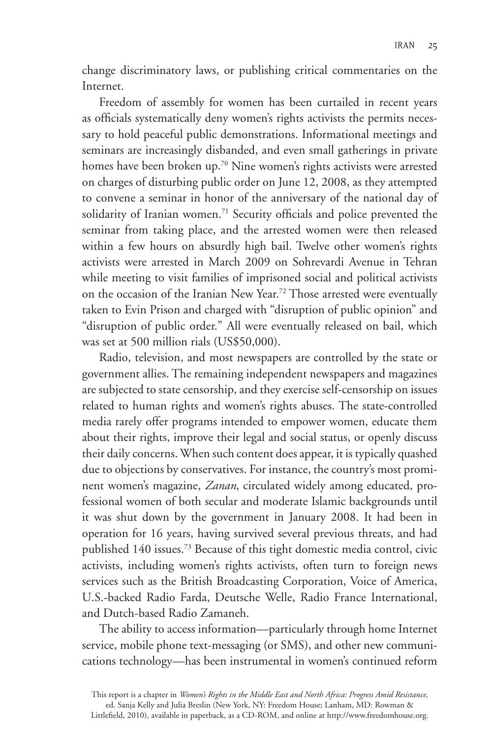change discriminatory laws, or publishing critical commentaries on the Internet.

Freedom of assembly for women has been curtailed in recent years as officials systematically deny women's rights activists the permits necessary to hold peaceful public demonstrations. Informational meetings and seminars are increasingly disbanded, and even small gatherings in private homes have been broken up.<sup>70</sup> Nine women's rights activists were arrested on charges of disturbing public order on June 12, 2008, as they attempted to convene a seminar in honor of the anniversary of the national day of solidarity of Iranian women.<sup>71</sup> Security officials and police prevented the seminar from taking place, and the arrested women were then released within a few hours on absurdly high bail. Twelve other women's rights activists were arrested in March 2009 on Sohrevardi Avenue in Tehran while meeting to visit families of imprisoned social and political activists on the occasion of the Iranian New Year.72 Those arrested were eventually taken to Evin Prison and charged with "disruption of public opinion" and "disruption of public order." All were eventually released on bail, which was set at 500 million rials (US\$50,000).

Radio, television, and most newspapers are controlled by the state or government allies. The remaining independent newspapers and magazines are subjected to state censorship, and they exercise self-censorship on issues related to human rights and women's rights abuses. The state-controlled media rarely offer programs intended to empower women, educate them about their rights, improve their legal and social status, or openly discuss their daily concerns. When such content does appear, it is typically quashed due to objections by conservatives. For instance, the country's most prominent women's magazine, *Zanan*, circulated widely among educated, professional women of both secular and moderate Islamic backgrounds until it was shut down by the government in January 2008. It had been in operation for 16 years, having survived several previous threats, and had published 140 issues.73 Because of this tight domestic media control, civic activists, including women's rights activists, often turn to foreign news services such as the British Broadcasting Corporation, Voice of America, U.S.-backed Radio Farda, Deutsche Welle, Radio France International, and Dutch-based Radio Zamaneh.

The ability to access information—particularly through home Internet service, mobile phone text-messaging (or SMS), and other new communications technology—has been instrumental in women's continued reform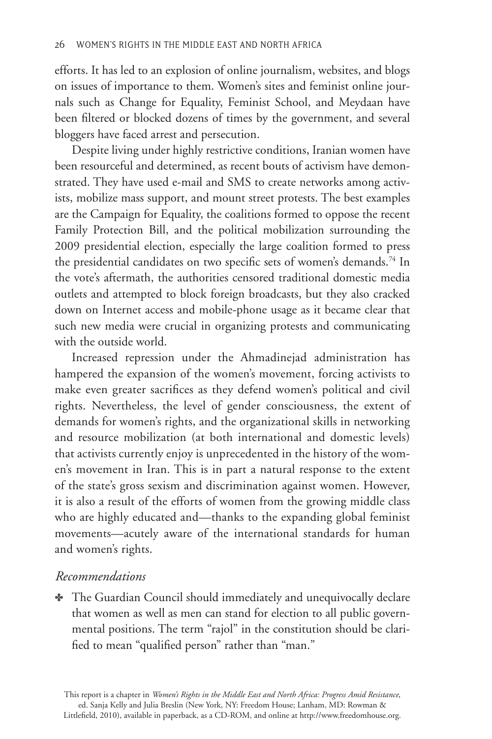efforts. It has led to an explosion of online journalism, websites, and blogs on issues of importance to them. Women's sites and feminist online journals such as Change for Equality, Feminist School, and Meydaan have been filtered or blocked dozens of times by the government, and several bloggers have faced arrest and persecution.

Despite living under highly restrictive conditions, Iranian women have been resourceful and determined, as recent bouts of activism have demonstrated. They have used e-mail and SMS to create networks among activists, mobilize mass support, and mount street protests. The best examples are the Campaign for Equality, the coalitions formed to oppose the recent Family Protection Bill, and the political mobilization surrounding the 2009 presidential election, especially the large coalition formed to press the presidential candidates on two specific sets of women's demands.<sup>74</sup> In the vote's aftermath, the authorities censored traditional domestic media outlets and attempted to block foreign broadcasts, but they also cracked down on Internet access and mobile-phone usage as it became clear that such new media were crucial in organizing protests and communicating with the outside world.

Increased repression under the Ahmadinejad administration has hampered the expansion of the women's movement, forcing activists to make even greater sacrifices as they defend women's political and civil rights. Nevertheless, the level of gender consciousness, the extent of demands for women's rights, and the organizational skills in networking and resource mobilization (at both international and domestic levels) that activists currently enjoy is unprecedented in the history of the women's movement in Iran. This is in part a natural response to the extent of the state's gross sexism and discrimination against women. However, it is also a result of the efforts of women from the growing middle class who are highly educated and—thanks to the expanding global feminist movements—acutely aware of the international standards for human and women's rights.

#### *Recommendations*

• The Guardian Council should immediately and unequivocally declare that women as well as men can stand for election to all public governmental positions. The term "rajol" in the constitution should be clarified to mean "qualified person" rather than "man."

This report is a chapter in *Women's Rights in the Middle East and North Africa: Progress Amid Resistance*, ed. Sanja Kelly and Julia Breslin (New York, NY: Freedom House; Lanham, MD: Rowman & Littlefield, 2010), available in paperback, as a CD-ROM, and online at http://www.freedomhouse.org.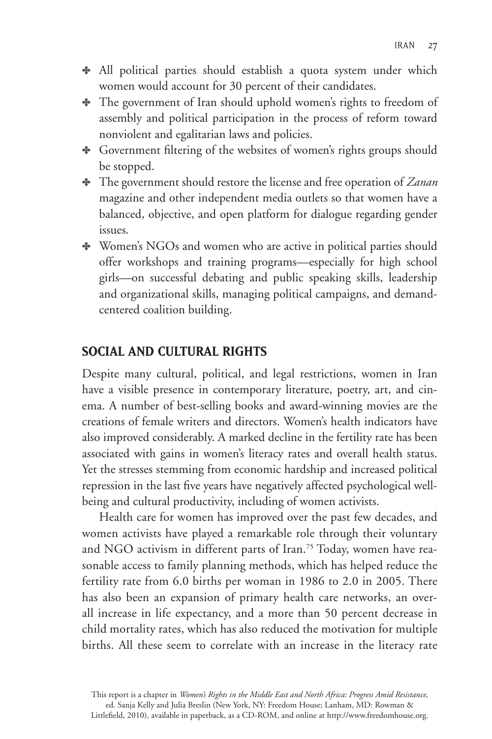- All political parties should establish a quota system under which women would account for 30 percent of their candidates.
- $\triangleq$  The government of Iran should uphold women's rights to freedom of assembly and political participation in the process of reform toward nonviolent and egalitarian laws and policies.
- Government filtering of the websites of women's rights groups should be stopped.
- F The government should restore the license and free operation of *Zanan* magazine and other independent media outlets so that women have a balanced, objective, and open platform for dialogue regarding gender issues.
- F Women's NGOs and women who are active in political parties should offer workshops and training programs—especially for high school girls—on successful debating and public speaking skills, leadership and organizational skills, managing political campaigns, and demandcentered coalition building.

# **SOCIAL AND CULTURAL RIGHTS**

Despite many cultural, political, and legal restrictions, women in Iran have a visible presence in contemporary literature, poetry, art, and cinema. A number of best-selling books and award-winning movies are the creations of female writers and directors. Women's health indicators have also improved considerably. A marked decline in the fertility rate has been associated with gains in women's literacy rates and overall health status. Yet the stresses stemming from economic hardship and increased political repression in the last five years have negatively affected psychological wellbeing and cultural productivity, including of women activists.

Health care for women has improved over the past few decades, and women activists have played a remarkable role through their voluntary and NGO activism in different parts of Iran.<sup>75</sup> Today, women have reasonable access to family planning methods, which has helped reduce the fertility rate from 6.0 births per woman in 1986 to 2.0 in 2005. There has also been an expansion of primary health care networks, an overall increase in life expectancy, and a more than 50 percent decrease in child mortality rates, which has also reduced the motivation for multiple births. All these seem to correlate with an increase in the literacy rate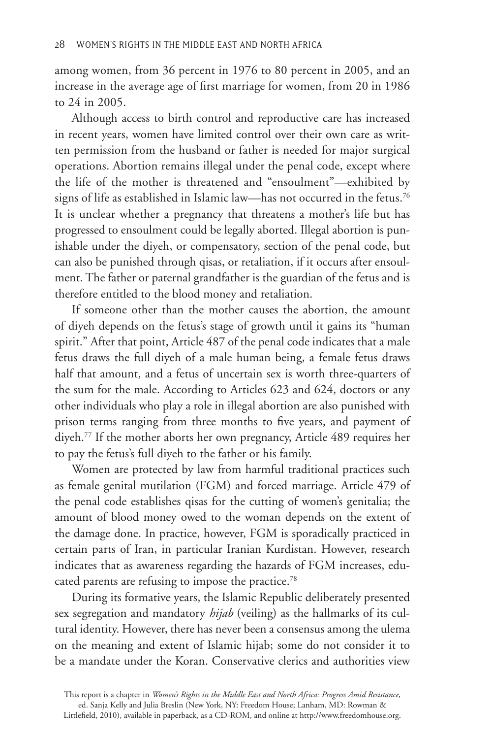among women, from 36 percent in 1976 to 80 percent in 2005, and an increase in the average age of first marriage for women, from 20 in 1986 to 24 in 2005.

Although access to birth control and reproductive care has increased in recent years, women have limited control over their own care as written permission from the husband or father is needed for major surgical operations. Abortion remains illegal under the penal code, except where the life of the mother is threatened and "ensoulment"—exhibited by signs of life as established in Islamic law—has not occurred in the fetus.<sup>76</sup> It is unclear whether a pregnancy that threatens a mother's life but has progressed to ensoulment could be legally aborted. Illegal abortion is punishable under the diyeh, or compensatory, section of the penal code, but can also be punished through qisas, or retaliation, if it occurs after ensoulment. The father or paternal grandfather is the guardian of the fetus and is therefore entitled to the blood money and retaliation.

If someone other than the mother causes the abortion, the amount of diyeh depends on the fetus's stage of growth until it gains its "human spirit." After that point, Article 487 of the penal code indicates that a male fetus draws the full diyeh of a male human being, a female fetus draws half that amount, and a fetus of uncertain sex is worth three-quarters of the sum for the male. According to Articles 623 and 624, doctors or any other individuals who play a role in illegal abortion are also punished with prison terms ranging from three months to five years, and payment of diyeh.77 If the mother aborts her own pregnancy, Article 489 requires her to pay the fetus's full diyeh to the father or his family.

Women are protected by law from harmful traditional practices such as female genital mutilation (FGM) and forced marriage. Article 479 of the penal code establishes qisas for the cutting of women's genitalia; the amount of blood money owed to the woman depends on the extent of the damage done. In practice, however, FGM is sporadically practiced in certain parts of Iran, in particular Iranian Kurdistan. However, research indicates that as awareness regarding the hazards of FGM increases, educated parents are refusing to impose the practice.<sup>78</sup>

During its formative years, the Islamic Republic deliberately presented sex segregation and mandatory *hijab* (veiling) as the hallmarks of its cultural identity. However, there has never been a consensus among the ulema on the meaning and extent of Islamic hijab; some do not consider it to be a mandate under the Koran. Conservative clerics and authorities view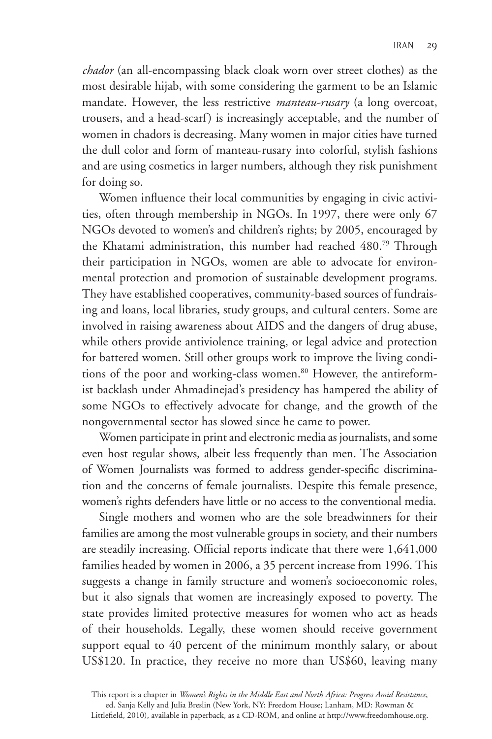*chador* (an all-encompassing black cloak worn over street clothes) as the most desirable hijab, with some considering the garment to be an Islamic mandate. However, the less restrictive *manteau-rusary* (a long overcoat, trousers, and a head-scarf) is increasingly acceptable, and the number of women in chadors is decreasing. Many women in major cities have turned the dull color and form of manteau-rusary into colorful, stylish fashions and are using cosmetics in larger numbers, although they risk punishment for doing so.

Women influence their local communities by engaging in civic activities, often through membership in NGOs. In 1997, there were only 67 NGOs devoted to women's and children's rights; by 2005, encouraged by the Khatami administration, this number had reached 480.79 Through their participation in NGOs, women are able to advocate for environmental protection and promotion of sustainable development programs. They have established cooperatives, community-based sources of fundraising and loans, local libraries, study groups, and cultural centers. Some are involved in raising awareness about AIDS and the dangers of drug abuse, while others provide antiviolence training, or legal advice and protection for battered women. Still other groups work to improve the living conditions of the poor and working-class women.<sup>80</sup> However, the antireformist backlash under Ahmadinejad's presidency has hampered the ability of some NGOs to effectively advocate for change, and the growth of the nongovernmental sector has slowed since he came to power.

Women participate in print and electronic media as journalists, and some even host regular shows, albeit less frequently than men. The Association of Women Journalists was formed to address gender-specific discrimination and the concerns of female journalists. Despite this female presence, women's rights defenders have little or no access to the conventional media.

Single mothers and women who are the sole breadwinners for their families are among the most vulnerable groups in society, and their numbers are steadily increasing. Official reports indicate that there were 1,641,000 families headed by women in 2006, a 35 percent increase from 1996. This suggests a change in family structure and women's socioeconomic roles, but it also signals that women are increasingly exposed to poverty. The state provides limited protective measures for women who act as heads of their households. Legally, these women should receive government support equal to 40 percent of the minimum monthly salary, or about US\$120. In practice, they receive no more than US\$60, leaving many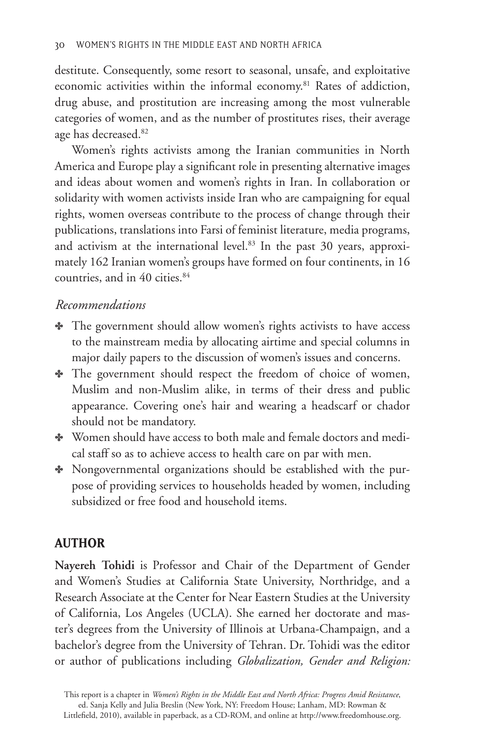destitute. Consequently, some resort to seasonal, unsafe, and exploitative economic activities within the informal economy.81 Rates of addiction, drug abuse, and prostitution are increasing among the most vulnerable categories of women, and as the number of prostitutes rises, their average age has decreased.<sup>82</sup>

Women's rights activists among the Iranian communities in North America and Europe play a significant role in presenting alternative images and ideas about women and women's rights in Iran. In collaboration or solidarity with women activists inside Iran who are campaigning for equal rights, women overseas contribute to the process of change through their publications, translations into Farsi of feminist literature, media programs, and activism at the international level.<sup>83</sup> In the past 30 years, approximately 162 Iranian women's groups have formed on four continents, in 16 countries, and in 40 cities.<sup>84</sup>

# *Recommendations*

- $\bullet$  The government should allow women's rights activists to have access to the mainstream media by allocating airtime and special columns in major daily papers to the discussion of women's issues and concerns.
- $\bullet$  The government should respect the freedom of choice of women, Muslim and non-Muslim alike, in terms of their dress and public appearance. Covering one's hair and wearing a headscarf or chador should not be mandatory.
- F Women should have access to both male and female doctors and medical staff so as to achieve access to health care on par with men.
- Nongovernmental organizations should be established with the purpose of providing services to households headed by women, including subsidized or free food and household items.

#### **AUTHOR**

**Nayereh Tohidi** is Professor and Chair of the Department of Gender and Women's Studies at California State University, Northridge, and a Research Associate at the Center for Near Eastern Studies at the University of California, Los Angeles (UCLA). She earned her doctorate and master's degrees from the University of Illinois at Urbana-Champaign, and a bachelor's degree from the University of Tehran. Dr. Tohidi was the editor or author of publications including *Globalization, Gender and Religion:*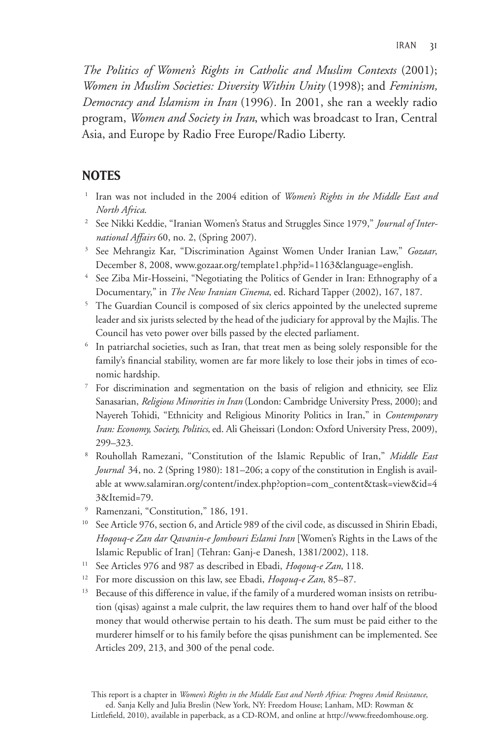*The Politics of Women's Rights in Catholic and Muslim Contexts* (2001); *Women in Muslim Societies: Diversity Within Unity* (1998); and *Feminism, Democracy and Islamism in Iran* (1996)*.* In 2001, she ran a weekly radio program, *Women and Society in Iran*, which was broadcast to Iran, Central Asia, and Europe by Radio Free Europe/Radio Liberty.

## **NOTES**

- 1 Iran was not included in the 2004 edition of *Women's Rights in the Middle East and North Africa*.
- 2 See Nikki Keddie, "Iranian Women's Status and Struggles Since 1979," *Journal of International Affairs* 60, no. 2, (Spring 2007).
- 3 See Mehrangiz Kar, "Discrimination Against Women Under Iranian Law," *Gozaar*, December 8, 2008, www.gozaar.org/template1.php?id=1163&language=english.
- <sup>4</sup> See Ziba Mir-Hosseini, "Negotiating the Politics of Gender in Iran: Ethnography of a Documentary," in *The New Iranian Cinema*, ed. Richard Tapper (2002), 167, 187.
- <sup>5</sup> The Guardian Council is composed of six clerics appointed by the unelected supreme leader and six jurists selected by the head of the judiciary for approval by the Majlis. The Council has veto power over bills passed by the elected parliament.
- <sup>6</sup> In patriarchal societies, such as Iran, that treat men as being solely responsible for the family's financial stability, women are far more likely to lose their jobs in times of economic hardship.
- For discrimination and segmentation on the basis of religion and ethnicity, see Eliz Sanasarian, *Religious Minorities in Iran* (London: Cambridge University Press, 2000); and Nayereh Tohidi, "Ethnicity and Religious Minority Politics in Iran," in *Contemporary Iran: Economy, Society, Politics*, ed. Ali Gheissari (London: Oxford University Press, 2009), 299–323.
- 8 Rouhollah Ramezani, "Constitution of the Islamic Republic of Iran," *Middle East Journal* 34, no. 2 (Spring 1980): 181–206; a copy of the constitution in English is available at www.salamiran.org/content/index.php?option=com\_content&task=view&id=4 3&Itemid=79.
- 9 Ramenzani, "Constitution," 186, 191.
- <sup>10</sup> See Article 976, section 6, and Article 989 of the civil code, as discussed in Shirin Ebadi, *Hoqouq-e Zan dar Qavanin-e Jomhouri Eslami Iran* [Women's Rights in the Laws of the Islamic Republic of Iran] (Tehran: Ganj-e Danesh, 1381/2002), 118.
- 11 See Articles 976 and 987 as described in Ebadi, *Hoqouq-e Zan*, 118.
- 12 For more discussion on this law, see Ebadi, *Hoqouq-e Zan*, 85–87.
- <sup>13</sup> Because of this difference in value, if the family of a murdered woman insists on retribution (qisas) against a male culprit, the law requires them to hand over half of the blood money that would otherwise pertain to his death. The sum must be paid either to the murderer himself or to his family before the qisas punishment can be implemented. See Articles 209, 213, and 300 of the penal code.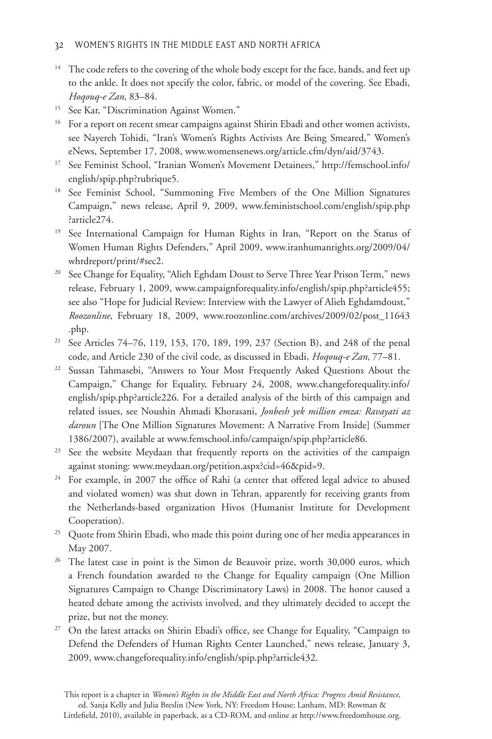- <sup>14</sup> The code refers to the covering of the whole body except for the face, hands, and feet up to the ankle. It does not specify the color, fabric, or model of the covering. See Ebadi, *Hoqouq-e Zan*, 83–84.
- <sup>15</sup> See Kar, "Discrimination Against Women."
- <sup>16</sup> For a report on recent smear campaigns against Shirin Ebadi and other women activists, see Nayereh Tohidi, "Iran's Women's Rights Activists Are Being Smeared," Women's eNews, September 17, 2008, www.womensenews.org/article.cfm/dyn/aid/3743.
- <sup>17</sup> See Feminist School, "Iranian Women's Movement Detainees," http://femschool.info/ english/spip.php?rubrique5.
- <sup>18</sup> See Feminist School, "Summoning Five Members of the One Million Signatures Campaign," news release, April 9, 2009, www.feministschool.com/english/spip.php ?article274.
- <sup>19</sup> See International Campaign for Human Rights in Iran, "Report on the Status of Women Human Rights Defenders," April 2009, www.iranhumanrights.org/2009/04/ whrdreport/print/#sec2.
- <sup>20</sup> See Change for Equality, "Alieh Eghdam Doust to Serve Three Year Prison Term," news release, February 1, 2009, www.campaignforequality.info/english/spip.php?article455; see also "Hope for Judicial Review: Interview with the Lawyer of Alieh Eghdamdoust," *Roozonline*, February 18, 2009, www.roozonline.com/archives/2009/02/post\_11643 .php.
- 21 See Articles 74–76, 119, 153, 170, 189, 199, 237 (Section B), and 248 of the penal code, and Article 230 of the civil code, as discussed in Ebadi, *Hoqouq-e Zan*, 77–81.
- <sup>22</sup> Sussan Tahmasebi, "Answers to Your Most Frequently Asked Questions About the Campaign," Change for Equality, February 24, 2008, www.changeforequality.info/ english/spip.php?article226. For a detailed analysis of the birth of this campaign and related issues, see Noushin Ahmadi Khorasani, *Jonbesh yek million emza: Ravayati az daroun* [The One Million Signatures Movement: A Narrative From Inside] (Summer 1386/2007), available at www.femschool.info/campaign/spip.php?article86.
- <sup>23</sup> See the website Meydaan that frequently reports on the activities of the campaign against stoning: www.meydaan.org/petition.aspx?cid=46&pid=9.
- $24$  For example, in 2007 the office of Rahi (a center that offered legal advice to abused and violated women) was shut down in Tehran, apparently for receiving grants from the Netherlands-based organization Hivos (Humanist Institute for Development Cooperation).
- <sup>25</sup> Quote from Shirin Ebadi, who made this point during one of her media appearances in May 2007.
- <sup>26</sup> The latest case in point is the Simon de Beauvoir prize, worth 30,000 euros, which a French foundation awarded to the Change for Equality campaign (One Million Signatures Campaign to Change Discriminatory Laws) in 2008. The honor caused a heated debate among the activists involved, and they ultimately decided to accept the prize, but not the money.
- <sup>27</sup> On the latest attacks on Shirin Ebadi's office, see Change for Equality, "Campaign to Defend the Defenders of Human Rights Center Launched," news release, January 3, 2009, www.changeforequality.info/english/spip.php?article432.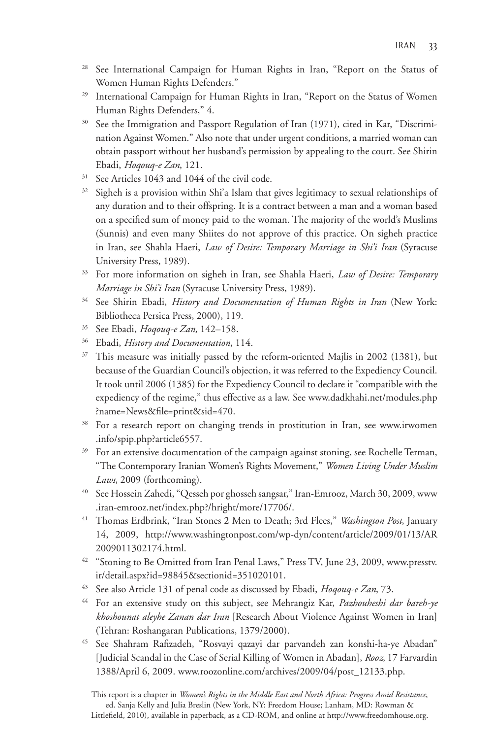- <sup>28</sup> See International Campaign for Human Rights in Iran, "Report on the Status of Women Human Rights Defenders."
- $29$  International Campaign for Human Rights in Iran, "Report on the Status of Women Human Rights Defenders," 4.
- <sup>30</sup> See the Immigration and Passport Regulation of Iran (1971), cited in Kar, "Discrimination Against Women." Also note that under urgent conditions, a married woman can obtain passport without her husband's permission by appealing to the court. See Shirin Ebadi, *Hoqouq-e Zan*, 121.
- <sup>31</sup> See Articles 1043 and 1044 of the civil code.
- <sup>32</sup> Sigheh is a provision within Shi'a Islam that gives legitimacy to sexual relationships of any duration and to their offspring. It is a contract between a man and a woman based on a specified sum of money paid to the woman. The majority of the world's Muslims (Sunnis) and even many Shiites do not approve of this practice. On sigheh practice in Iran, see Shahla Haeri, *Law of Desire: Temporary Marriage in Shi'i Iran* (Syracuse University Press, 1989).
- 33 For more information on sigheh in Iran, see Shahla Haeri, *Law of Desire: Temporary Marriage in Shi'i Iran* (Syracuse University Press, 1989).
- 34 See Shirin Ebadi, *History and Documentation of Human Rights in Iran* (New York: Bibliotheca Persica Press, 2000), 119.
- 35 See Ebadi, *Hoqouq-e Zan,* 142–158.
- 36 Ebadi, *History and Documentation*, 114.
- $37$  This measure was initially passed by the reform-oriented Majlis in 2002 (1381), but because of the Guardian Council's objection, it was referred to the Expediency Council. It took until 2006 (1385) for the Expediency Council to declare it "compatible with the expediency of the regime," thus effective as a law. See www.dadkhahi.net/modules.php ?name=News&file=print&sid=470.
- <sup>38</sup> For a research report on changing trends in prostitution in Iran, see www.irwomen .info/spip.php?article6557.
- <sup>39</sup> For an extensive documentation of the campaign against stoning, see Rochelle Terman, "The Contemporary Iranian Women's Rights Movement," *Women Living Under Muslim Laws*, 2009 (forthcoming).
- 40 See Hossein Zahedi, "Qesseh por ghosseh sangsar," Iran-Emrooz, March 30, 2009, www .iran-emrooz.net/index.php?/hright/more/17706/.
- 41 Thomas Erdbrink, "Iran Stones 2 Men to Death; 3rd Flees," *Washington Post*, January 14, 2009, http://www.washingtonpost.com/wp-dyn/content/article/2009/01/13/AR 2009011302174.html.
- <sup>42</sup> "Stoning to Be Omitted from Iran Penal Laws," Press TV, June 23, 2009, www.presstv. ir/detail.aspx?id=98845&sectionid=351020101.
- 43 See also Article 131 of penal code as discussed by Ebadi, *Hoqouq-e Zan*, 73.
- 44 For an extensive study on this subject, see Mehrangiz Kar, *Pazhouheshi dar bareh-ye khoshounat aleyhe Zanan dar Iran* [Research About Violence Against Women in Iran] (Tehran: Roshangaran Publications, 1379/2000).
- <sup>45</sup> See Shahram Rafizadeh, "Rosvayi qazayi dar parvandeh zan konshi-ha-ye Abadan" [Judicial Scandal in the Case of Serial Killing of Women in Abadan], *Rooz*, 17 Farvardin 1388/April 6, 2009. www.roozonline.com/archives/2009/04/post\_12133.php.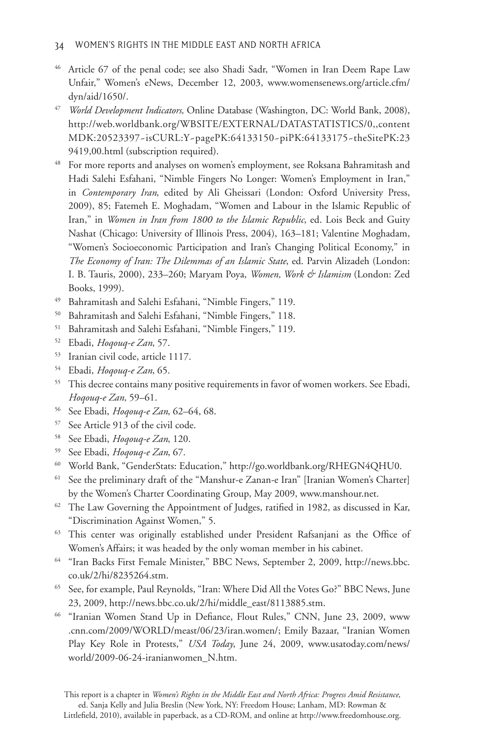- 46 Article 67 of the penal code; see also Shadi Sadr, "Women in Iran Deem Rape Law Unfair," Women's eNews, December 12, 2003, www.womensenews.org/article.cfm/ dyn/aid/1650/.
- 47 *World Development Indicators,* Online Database (Washington, DC: World Bank, 2008), http://web.worldbank.org/WBSITE/EXTERNAL/DATASTATISTICS/0,,content MDK:20523397~isCURL:Y~pagePK:64133150~piPK:64133175~theSitePK:23 9419,00.html (subscription required).
- 48 For more reports and analyses on women's employment, see Roksana Bahramitash and Hadi Salehi Esfahani, "Nimble Fingers No Longer: Women's Employment in Iran," in *Contemporary Iran*, edited by Ali Gheissari (London: Oxford University Press, 2009), 85; Fatemeh E. Moghadam, "Women and Labour in the Islamic Republic of Iran," in *Women in Iran from 1800 to the Islamic Republic*, ed. Lois Beck and Guity Nashat (Chicago: University of Illinois Press, 2004), 163–181; Valentine Moghadam, "Women's Socioeconomic Participation and Iran's Changing Political Economy," in *The Economy of Iran: The Dilemmas of an Islamic State*, ed. Parvin Alizadeh (London: I. B. Tauris, 2000), 233–260; Maryam Poya, *Women, Work & Islamism* (London: Zed Books, 1999).
- 49 Bahramitash and Salehi Esfahani, "Nimble Fingers," 119.
- 50 Bahramitash and Salehi Esfahani, "Nimble Fingers," 118.
- 51 Bahramitash and Salehi Esfahani, "Nimble Fingers," 119.
- 52 Ebadi, *Hoqouq-e Zan*, 57.
- 53 Iranian civil code, article 1117.
- 54 Ebadi, *Hoqouq-e Zan*, 65.
- <sup>55</sup> This decree contains many positive requirements in favor of women workers. See Ebadi, *Hoqouq-e Zan,* 59–61.
- 56 See Ebadi, *Hoqouq-e Zan*, 62–64, 68.
- 57 See Article 913 of the civil code.
- 58 See Ebadi, *Hoqouq-e Zan*, 120.
- 59 See Ebadi, *Hoqouq-e Zan*, 67.
- 60 World Bank, "GenderStats: Education," http://go.worldbank.org/RHEGN4QHU0.
- 61 See the preliminary draft of the "Manshur-e Zanan-e Iran" [Iranian Women's Charter] by the Women's Charter Coordinating Group, May 2009, www.manshour.net.
- $62$  The Law Governing the Appointment of Judges, ratified in 1982, as discussed in Kar, "Discrimination Against Women," 5.
- <sup>63</sup> This center was originally established under President Rafsanjani as the Office of Women's Affairs; it was headed by the only woman member in his cabinet.
- 64 "Iran Backs First Female Minister," BBC News, September 2, 2009, http://news.bbc. co.uk/2/hi/8235264.stm.
- 65 See, for example, Paul Reynolds, "Iran: Where Did All the Votes Go?" BBC News, June 23, 2009, http://news.bbc.co.uk/2/hi/middle\_east/8113885.stm.
- <sup>66</sup> "Iranian Women Stand Up in Defiance, Flout Rules," CNN, June 23, 2009, www .cnn.com/2009/WORLD/meast/06/23/iran.women/; Emily Bazaar, "Iranian Women Play Key Role in Protests," *USA Today*, June 24, 2009, www.usatoday.com/news/ world/2009-06-24-iranianwomen\_N.htm.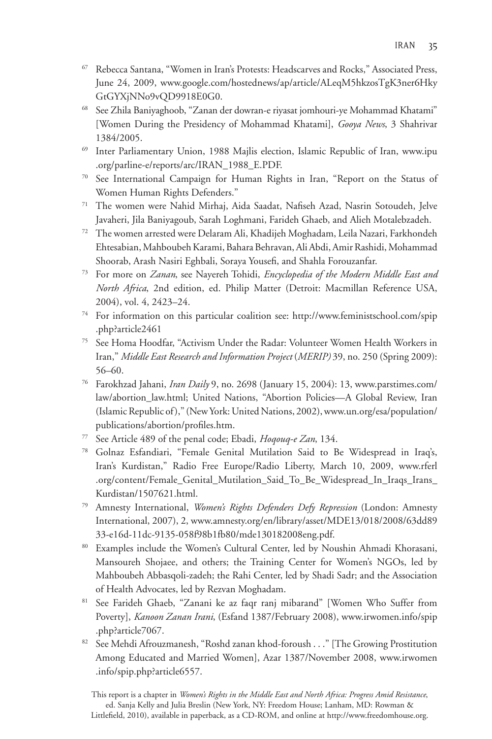- <sup>67</sup> Rebecca Santana, "Women in Iran's Protests: Headscarves and Rocks," Associated Press, June 24, 2009, www.google.com/hostednews/ap/article/ALeqM5 hkzosTgK3ner6Hky GtGYXjNNo9vQD9918E0G0.
- 68 See Zhila Baniyaghoob, "Zanan der dowran-e riyasat jomhouri-ye Mohammad Khatami" [Women During the Presidency of Mohammad Khatami], *Gooya News*, 3 Shahrivar 1384/2005.
- $69$  Inter Parliamentary Union, 1988 Majlis election, Islamic Republic of Iran, www.ipu .org/parline-e/reports/arc/IRAN\_1988\_E.PDF.
- 70 See International Campaign for Human Rights in Iran, "Report on the Status of Women Human Rights Defenders."
- <sup>71</sup> The women were Nahid Mirhaj, Aida Saadat, Nafiseh Azad, Nasrin Sotoudeh, Jelve Javaheri, Jila Baniyagoub, Sarah Loghmani, Farideh Ghaeb, and Alieh Motalebzadeh.
- 72 The women arrested were Delaram Ali, Khadijeh Moghadam, Leila Nazari, Farkhondeh Ehtesabian, Mahboubeh Karami, Bahara Behravan, Ali Abdi, Amir Rashidi, Mohammad Shoorab, Arash Nasiri Eghbali, Soraya Yousefi, and Shahla Forouzanfar.
- 73 For more on *Zanan*, see Nayereh Tohidi, *Encyclopedia of the Modern Middle East and North Africa*, 2nd edition, ed. Philip Matter (Detroit: Macmillan Reference USA, 2004), vol. 4, 2423–24.
- 74 For information on this particular coalition see: http://www.feministschool.com/spip .php?article2461
- 75 See Homa Hoodfar, "Activism Under the Radar: Volunteer Women Health Workers in Iran," *Middle East Research and Information Project* (*MERIP)* 39, no. 250 (Spring 2009): 56–60.
- 76 Farokhzad Jahani, *Iran Daily* 9, no. 2698 (January 15, 2004): 13, www.parstimes.com/ law/abortion\_law.html; United Nations, "Abortion Policies—A Global Review, Iran (Islamic Republic of)," (New York: United Nations, 2002), www.un.org/esa/population/ publications/abortion/profiles.htm.
- 77 See Article 489 of the penal code; Ebadi, *Hoqouq-e Zan*, 134.
- 78 Golnaz Esfandiari, "Female Genital Mutilation Said to Be Widespread in Iraq's, Iran's Kurdistan," Radio Free Europe/Radio Liberty, March 10, 2009, www.rferl .org/content/Female\_Genital\_Mutilation\_Said\_To\_Be\_Widespread\_In\_Iraqs\_Irans\_ Kurdistan/1507621.html.
- 79 Amnesty International, *Women's Rights Defenders Defy Repression* (London: Amnesty International, 2007), 2, www.amnesty.org/en/library/asset/MDE13/018/2008/63dd89 33-e16d-11dc-9135-058f98b1fb80/mde130182008eng.pdf.
- <sup>80</sup> Examples include the Women's Cultural Center, led by Noushin Ahmadi Khorasani, Mansoureh Shojaee, and others; the Training Center for Women's NGOs, led by Mahboubeh Abbasqoli-zadeh; the Rahi Center, led by Shadi Sadr; and the Association of Health Advocates, led by Rezvan Moghadam.
- 81 See Farideh Ghaeb, "Zanani ke az faqr ranj mibarand" [Women Who Suffer from Poverty], *Kanoon Zanan Irani*, (Esfand 1387/February 2008), www.irwomen.info/spip .php?article7067.
- 82 See Mehdi Afrouzmanesh, "Roshd zanan khod-foroush . . ." [The Growing Prostitution Among Educated and Married Women], Azar 1387/November 2008, www.irwomen .info/spip.php?article6557.